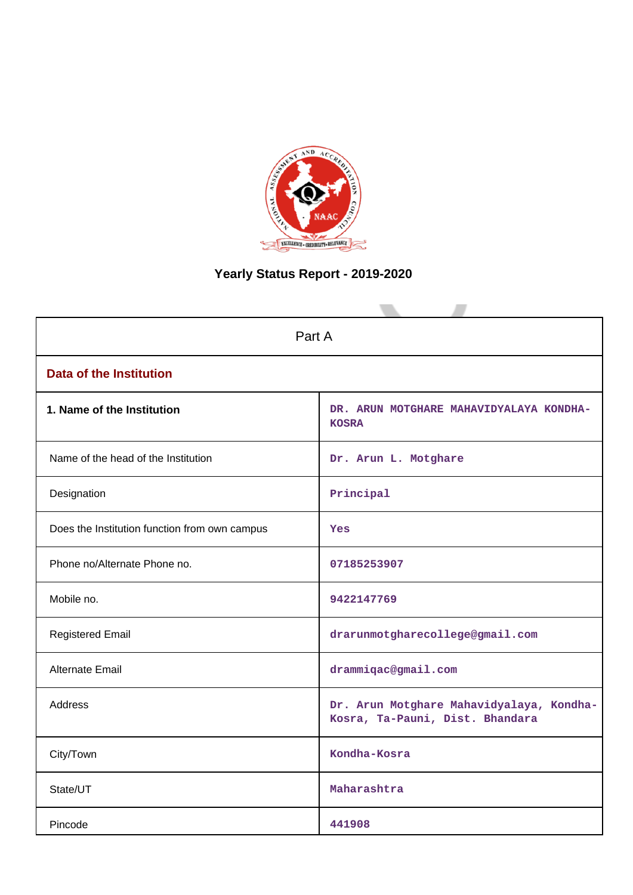

# **Yearly Status Report - 2019-2020**

|                                               | Part A                                                                      |  |  |  |
|-----------------------------------------------|-----------------------------------------------------------------------------|--|--|--|
| <b>Data of the Institution</b>                |                                                                             |  |  |  |
| 1. Name of the Institution                    | DR. ARUN MOTGHARE MAHAVIDYALAYA KONDHA-<br><b>KOSRA</b>                     |  |  |  |
| Name of the head of the Institution           | Dr. Arun L. Motghare                                                        |  |  |  |
| Designation                                   | Principal                                                                   |  |  |  |
| Does the Institution function from own campus | <b>Yes</b>                                                                  |  |  |  |
| Phone no/Alternate Phone no.                  | 07185253907                                                                 |  |  |  |
| Mobile no.                                    | 9422147769                                                                  |  |  |  |
| <b>Registered Email</b>                       | drarunmotgharecollege@gmail.com                                             |  |  |  |
| Alternate Email                               | drammiqac@gmail.com                                                         |  |  |  |
| <b>Address</b>                                | Dr. Arun Motghare Mahavidyalaya, Kondha-<br>Kosra, Ta-Pauni, Dist. Bhandara |  |  |  |
| City/Town                                     | Kondha-Kosra                                                                |  |  |  |
| State/UT                                      | Maharashtra                                                                 |  |  |  |
| Pincode                                       | 441908                                                                      |  |  |  |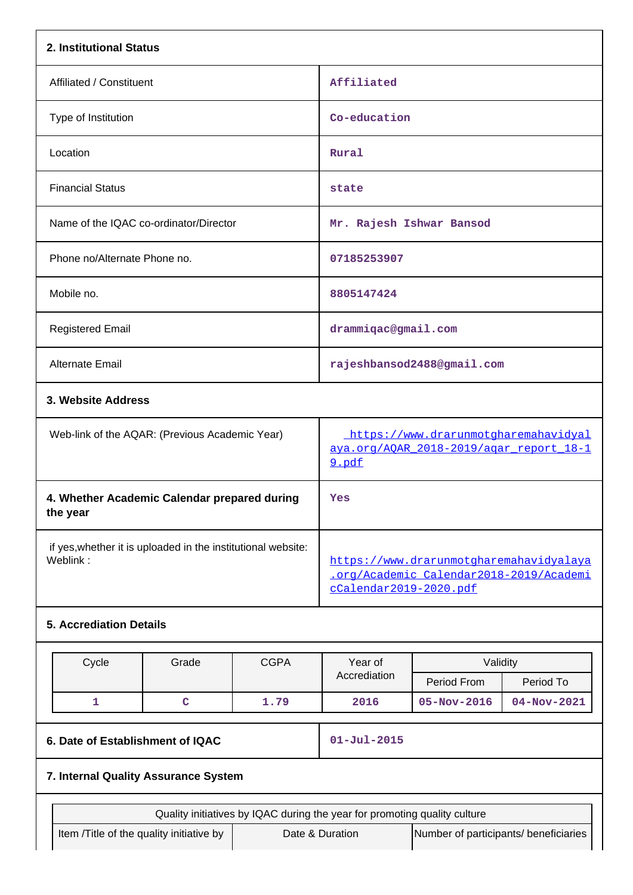| 2. Institutional Status                                                  |                                                             |             |                                                                                                              |                                       |             |
|--------------------------------------------------------------------------|-------------------------------------------------------------|-------------|--------------------------------------------------------------------------------------------------------------|---------------------------------------|-------------|
| Affiliated / Constituent                                                 |                                                             |             | Affiliated                                                                                                   |                                       |             |
| Type of Institution                                                      |                                                             |             |                                                                                                              | Co-education                          |             |
| Location                                                                 |                                                             |             | Rural                                                                                                        |                                       |             |
| <b>Financial Status</b>                                                  |                                                             |             | state                                                                                                        |                                       |             |
| Name of the IQAC co-ordinator/Director                                   |                                                             |             | Mr. Rajesh Ishwar Bansod                                                                                     |                                       |             |
| Phone no/Alternate Phone no.                                             |                                                             |             | 07185253907                                                                                                  |                                       |             |
| Mobile no.                                                               |                                                             |             | 8805147424                                                                                                   |                                       |             |
| <b>Registered Email</b>                                                  |                                                             |             | drammiqac@gmail.com                                                                                          |                                       |             |
| Alternate Email                                                          |                                                             |             |                                                                                                              | rajeshbansod2488@gmail.com            |             |
| 3. Website Address                                                       |                                                             |             |                                                                                                              |                                       |             |
|                                                                          | Web-link of the AQAR: (Previous Academic Year)              |             | https://www.drarunmotgharemahavidyal<br>aya.org/AQAR_2018-2019/agar_report 18-1<br>9.pdf                     |                                       |             |
| 4. Whether Academic Calendar prepared during<br>the year                 |                                                             |             | Yes                                                                                                          |                                       |             |
| if yes, whether it is uploaded in the institutional website:<br>Weblink: |                                                             |             | https://www.drarunmotgharemahavidyalaya<br>.org/Academic Calendar2018-2019/Academi<br>cCalendar2019-2020.pdf |                                       |             |
| <b>5. Accrediation Details</b>                                           |                                                             |             |                                                                                                              |                                       |             |
| Cycle                                                                    | Grade                                                       | <b>CGPA</b> | Year of<br>Validity                                                                                          |                                       |             |
|                                                                          |                                                             |             | Accrediation                                                                                                 | Period From                           | Period To   |
| 1                                                                        | $\mathbf C$                                                 | 1.79        | 2016                                                                                                         | 05-Nov-2016                           | 04-Nov-2021 |
|                                                                          | 6. Date of Establishment of IQAC                            |             |                                                                                                              | $01 - Jul - 2015$                     |             |
| 7. Internal Quality Assurance System                                     |                                                             |             |                                                                                                              |                                       |             |
|                                                                          |                                                             |             | Quality initiatives by IQAC during the year for promoting quality culture                                    |                                       |             |
|                                                                          | Item /Title of the quality initiative by<br>Date & Duration |             |                                                                                                              | Number of participants/ beneficiaries |             |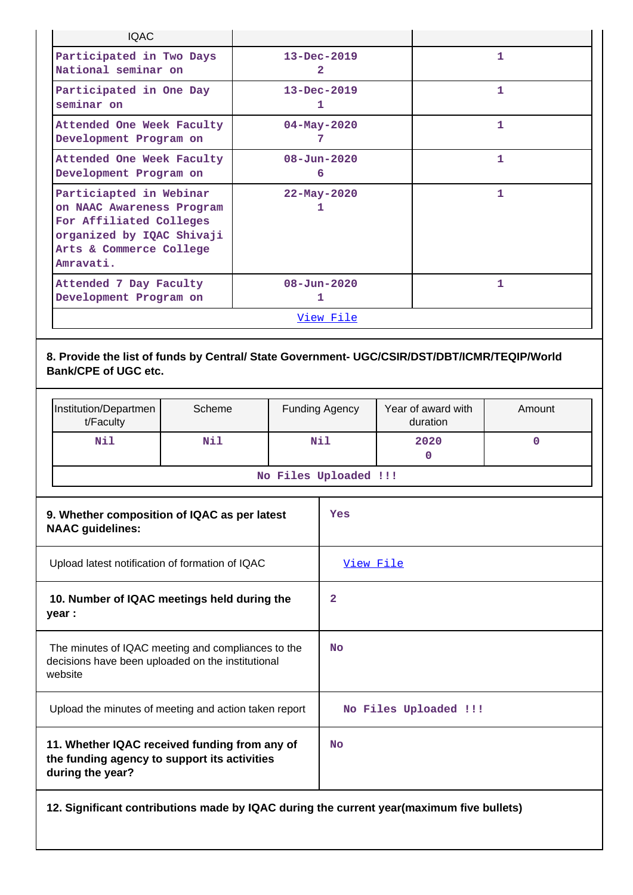| <b>IQAC</b>                                                                                                                                          |                        |   |  |  |
|------------------------------------------------------------------------------------------------------------------------------------------------------|------------------------|---|--|--|
| Participated in Two Days<br>National seminar on                                                                                                      | $13 - Dec - 2019$<br>2 | 1 |  |  |
| Participated in One Day<br>seminar on                                                                                                                | $13 - Dec - 2019$<br>1 | 1 |  |  |
| Attended One Week Faculty<br>Development Program on                                                                                                  | $04 - May - 2020$<br>7 | 1 |  |  |
| Attended One Week Faculty<br>Development Program on                                                                                                  | $08 - Jun - 2020$<br>6 | 1 |  |  |
| Particiapted in Webinar<br>on NAAC Awareness Program<br>For Affiliated Colleges<br>organized by IQAC Shivaji<br>Arts & Commerce College<br>Amravati. | $22 - May - 2020$<br>1 | 1 |  |  |
| Attended 7 Day Faculty<br>Development Program on                                                                                                     | $08 - Jun - 2020$<br>1 | 1 |  |  |
|                                                                                                                                                      | View File              |   |  |  |

# **8. Provide the list of funds by Central/ State Government- UGC/CSIR/DST/DBT/ICMR/TEQIP/World Bank/CPE of UGC etc.**

| Institution/Departmen<br>t/Faculty                                      | Scheme |  | <b>Funding Agency</b> | Year of award with<br>duration | Amount |
|-------------------------------------------------------------------------|--------|--|-----------------------|--------------------------------|--------|
| Nil                                                                     | Nil    |  | Nil                   | 2020<br>$\mathbf 0$            | 0      |
|                                                                         |        |  | No Files Uploaded !!! |                                |        |
| 9. Whether composition of IQAC as per latest<br><b>NAAC guidelines:</b> |        |  | Yes                   |                                |        |
| Upload latest notification of formation of IQAC                         |        |  | View File             |                                |        |

| 10. Number of IQAC meetings held during the<br>year :                                                              | 2                     |
|--------------------------------------------------------------------------------------------------------------------|-----------------------|
| The minutes of IQAC meeting and compliances to the<br>decisions have been uploaded on the institutional<br>website | No.                   |
| Upload the minutes of meeting and action taken report                                                              | No Files Uploaded !!! |
| 11. Whether IQAC received funding from any of<br>the funding agency to support its activities<br>during the year?  | <b>No</b>             |

**12. Significant contributions made by IQAC during the current year(maximum five bullets)**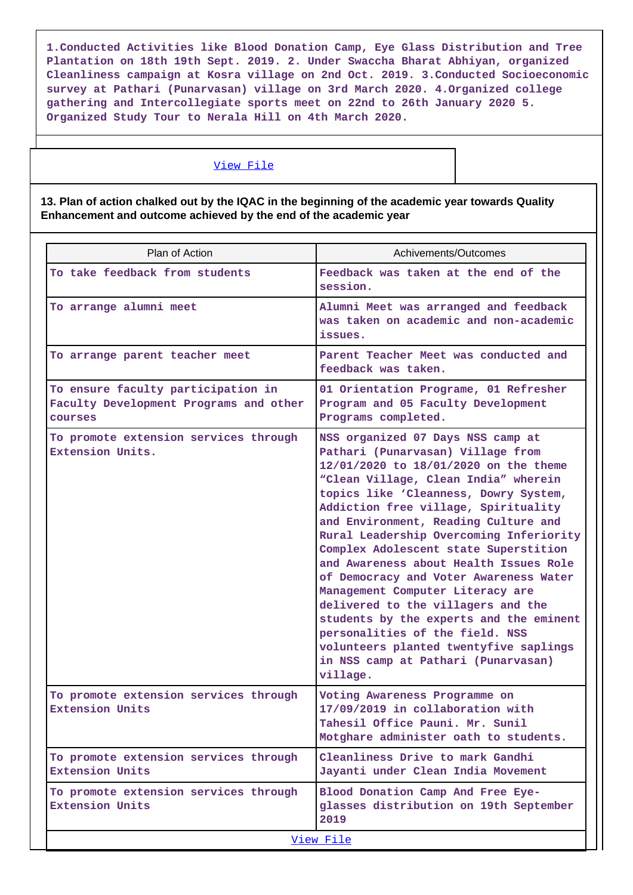**1.Conducted Activities like Blood Donation Camp, Eye Glass Distribution and Tree Plantation on 18th 19th Sept. 2019. 2. Under Swaccha Bharat Abhiyan, organized Cleanliness campaign at Kosra village on 2nd Oct. 2019. 3.Conducted Socioeconomic survey at Pathari (Punarvasan) village on 3rd March 2020. 4.Organized college gathering and Intercollegiate sports meet on 22nd to 26th January 2020 5. Organized Study Tour to Nerala Hill on 4th March 2020.**

### [View File](https://assessmentonline.naac.gov.in/public/Postacc/Contribution/10770_Contribution.xlsx)

**13. Plan of action chalked out by the IQAC in the beginning of the academic year towards Quality Enhancement and outcome achieved by the end of the academic year**

| Plan of Action                                                                          | Achivements/Outcomes                                                                                                                                                                                                                                                                                                                                                                                                                                                                                                                                                                                                                                                                                          |
|-----------------------------------------------------------------------------------------|---------------------------------------------------------------------------------------------------------------------------------------------------------------------------------------------------------------------------------------------------------------------------------------------------------------------------------------------------------------------------------------------------------------------------------------------------------------------------------------------------------------------------------------------------------------------------------------------------------------------------------------------------------------------------------------------------------------|
| To take feedback from students                                                          | Feedback was taken at the end of the<br>session.                                                                                                                                                                                                                                                                                                                                                                                                                                                                                                                                                                                                                                                              |
| To arrange alumni meet                                                                  | Alumni Meet was arranged and feedback<br>was taken on academic and non-academic<br>issues.                                                                                                                                                                                                                                                                                                                                                                                                                                                                                                                                                                                                                    |
| To arrange parent teacher meet                                                          | Parent Teacher Meet was conducted and<br>feedback was taken.                                                                                                                                                                                                                                                                                                                                                                                                                                                                                                                                                                                                                                                  |
| To ensure faculty participation in<br>Faculty Development Programs and other<br>courses | 01 Orientation Programe, 01 Refresher<br>Program and 05 Faculty Development<br>Programs completed.                                                                                                                                                                                                                                                                                                                                                                                                                                                                                                                                                                                                            |
| To promote extension services through<br>Extension Units.                               | NSS organized 07 Days NSS camp at<br>Pathari (Punarvasan) Village from<br>12/01/2020 to 18/01/2020 on the theme<br>"Clean Village, Clean India" wherein<br>topics like 'Cleanness, Dowry System,<br>Addiction free village, Spirituality<br>and Environment, Reading Culture and<br>Rural Leadership Overcoming Inferiority<br>Complex Adolescent state Superstition<br>and Awareness about Health Issues Role<br>of Democracy and Voter Awareness Water<br>Management Computer Literacy are<br>delivered to the villagers and the<br>students by the experts and the eminent<br>personalities of the field. NSS<br>volunteers planted twentyfive saplings<br>in NSS camp at Pathari (Punarvasan)<br>village. |
| To promote extension services through<br><b>Extension Units</b>                         | Voting Awareness Programme on<br>17/09/2019 in collaboration with<br>Tahesil Office Pauni. Mr. Sunil<br>Motghare administer oath to students.                                                                                                                                                                                                                                                                                                                                                                                                                                                                                                                                                                 |
| To promote extension services through<br><b>Extension Units</b>                         | Cleanliness Drive to mark Gandhi<br>Jayanti under Clean India Movement                                                                                                                                                                                                                                                                                                                                                                                                                                                                                                                                                                                                                                        |
| To promote extension services through<br><b>Extension Units</b>                         | Blood Donation Camp And Free Eye-<br>glasses distribution on 19th September<br>2019                                                                                                                                                                                                                                                                                                                                                                                                                                                                                                                                                                                                                           |
|                                                                                         | View File                                                                                                                                                                                                                                                                                                                                                                                                                                                                                                                                                                                                                                                                                                     |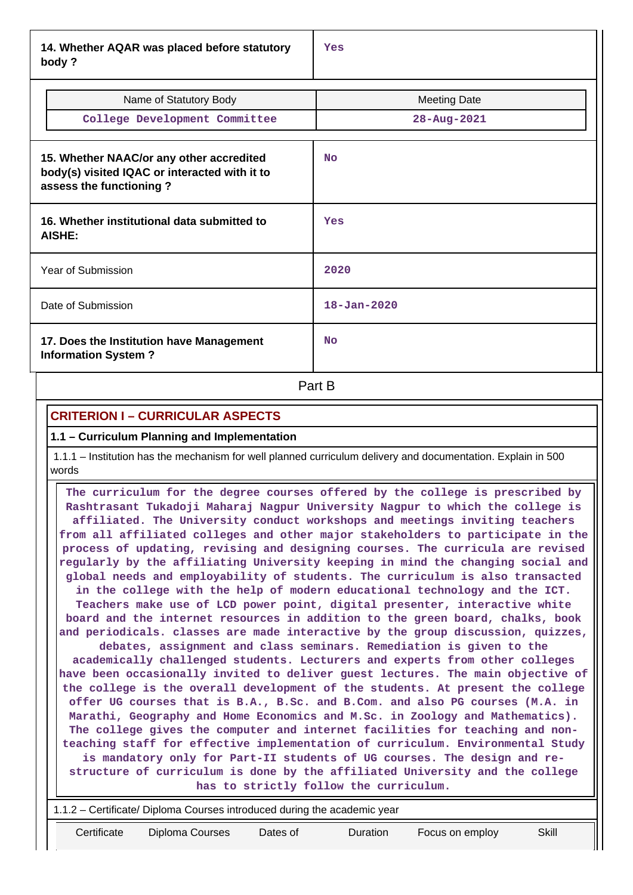**14. Whether AQAR was placed before statutory body ?**

| Name of Statutory Body<br>College Development Committee                                                              | <b>Meeting Date</b><br>28-Aug-2021 |
|----------------------------------------------------------------------------------------------------------------------|------------------------------------|
| 15. Whether NAAC/or any other accredited<br>body(s) visited IQAC or interacted with it to<br>assess the functioning? | <b>No</b>                          |
| 16. Whether institutional data submitted to<br>AISHE:                                                                | Yes                                |
| Year of Submission                                                                                                   | 2020                               |
| Date of Submission                                                                                                   | $18 - Jan - 2020$                  |
| 17. Does the Institution have Management<br><b>Information System?</b>                                               | N <sub>O</sub>                     |

**Part B** 

# **CRITERION I – CURRICULAR ASPECTS**

### **1.1 – Curriculum Planning and Implementation**

 1.1.1 – Institution has the mechanism for well planned curriculum delivery and documentation. Explain in 500 words

 **The curriculum for the degree courses offered by the college is prescribed by Rashtrasant Tukadoji Maharaj Nagpur University Nagpur to which the college is affiliated. The University conduct workshops and meetings inviting teachers from all affiliated colleges and other major stakeholders to participate in the process of updating, revising and designing courses. The curricula are revised regularly by the affiliating University keeping in mind the changing social and global needs and employability of students. The curriculum is also transacted in the college with the help of modern educational technology and the ICT. Teachers make use of LCD power point, digital presenter, interactive white board and the internet resources in addition to the green board, chalks, book and periodicals. classes are made interactive by the group discussion, quizzes, debates, assignment and class seminars. Remediation is given to the academically challenged students. Lecturers and experts from other colleges have been occasionally invited to deliver guest lectures. The main objective of the college is the overall development of the students. At present the college offer UG courses that is B.A., B.Sc. and B.Com. and also PG courses (M.A. in Marathi, Geography and Home Economics and M.Sc. in Zoology and Mathematics). The college gives the computer and internet facilities for teaching and nonteaching staff for effective implementation of curriculum. Environmental Study is mandatory only for Part-II students of UG courses. The design and restructure of curriculum is done by the affiliated University and the college has to strictly follow the curriculum.**

|             | 1.1.2 – Certificate/ Diploma Courses introduced during the academic year |          |          |                 |       |  |
|-------------|--------------------------------------------------------------------------|----------|----------|-----------------|-------|--|
| Certificate | Diploma Courses                                                          | Dates of | Duration | Focus on employ | Skill |  |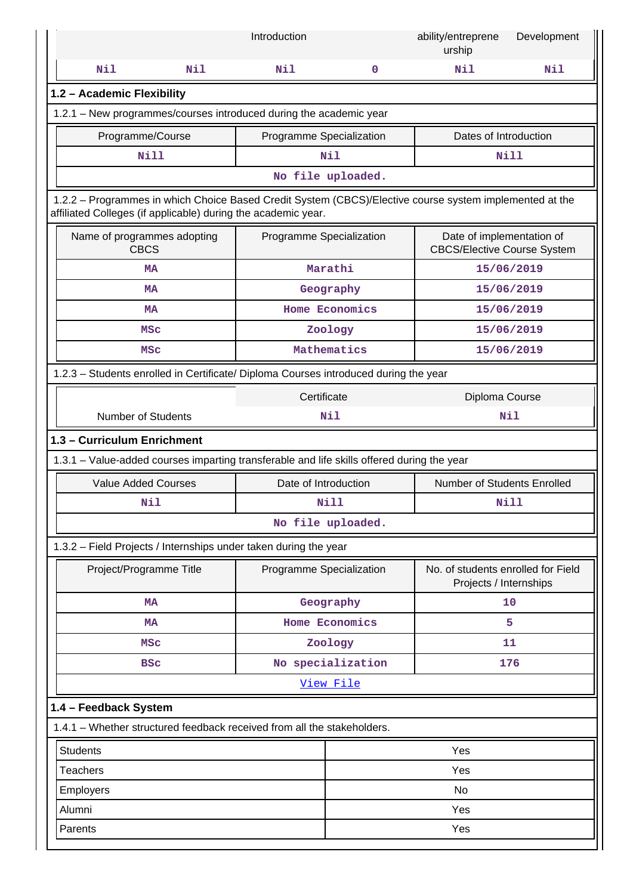|                                                                                                                                                                          | Introduction             |                   | ability/entreprene<br>urship                                    | Development |
|--------------------------------------------------------------------------------------------------------------------------------------------------------------------------|--------------------------|-------------------|-----------------------------------------------------------------|-------------|
| Nil<br>Nil                                                                                                                                                               | Nil                      | $\mathbf 0$       | Nil                                                             | Nil         |
| 1.2 - Academic Flexibility                                                                                                                                               |                          |                   |                                                                 |             |
| 1.2.1 - New programmes/courses introduced during the academic year                                                                                                       |                          |                   |                                                                 |             |
| Programme/Course                                                                                                                                                         | Programme Specialization |                   | Dates of Introduction                                           |             |
| <b>Nill</b>                                                                                                                                                              |                          | Nil               |                                                                 | <b>Nill</b> |
|                                                                                                                                                                          |                          | No file uploaded. |                                                                 |             |
| 1.2.2 - Programmes in which Choice Based Credit System (CBCS)/Elective course system implemented at the<br>affiliated Colleges (if applicable) during the academic year. |                          |                   |                                                                 |             |
| Name of programmes adopting<br><b>CBCS</b>                                                                                                                               | Programme Specialization |                   | Date of implementation of<br><b>CBCS/Elective Course System</b> |             |
| <b>MA</b>                                                                                                                                                                |                          | Marathi           |                                                                 | 15/06/2019  |
| <b>MA</b>                                                                                                                                                                |                          | Geography         |                                                                 | 15/06/2019  |
| <b>MA</b>                                                                                                                                                                |                          | Home Economics    |                                                                 | 15/06/2019  |
| <b>MSC</b>                                                                                                                                                               |                          | Zoology           |                                                                 | 15/06/2019  |
| <b>MSC</b>                                                                                                                                                               |                          | Mathematics       |                                                                 | 15/06/2019  |
| 1.2.3 - Students enrolled in Certificate/ Diploma Courses introduced during the year                                                                                     |                          |                   |                                                                 |             |
| Certificate<br>Diploma Course                                                                                                                                            |                          |                   |                                                                 |             |
| <b>Number of Students</b>                                                                                                                                                |                          | Nil               |                                                                 | Nil         |
| 1.3 - Curriculum Enrichment                                                                                                                                              |                          |                   |                                                                 |             |
| 1.3.1 – Value-added courses imparting transferable and life skills offered during the year                                                                               |                          |                   |                                                                 |             |
| <b>Value Added Courses</b>                                                                                                                                               | Date of Introduction     |                   | Number of Students Enrolled                                     |             |
| Nil                                                                                                                                                                      |                          | Nill              |                                                                 | Nill        |
|                                                                                                                                                                          |                          | No file uploaded. |                                                                 |             |
| 1.3.2 - Field Projects / Internships under taken during the year                                                                                                         |                          |                   |                                                                 |             |
| Project/Programme Title                                                                                                                                                  | Programme Specialization |                   | No. of students enrolled for Field<br>Projects / Internships    |             |
| <b>MA</b>                                                                                                                                                                |                          | Geography         |                                                                 | 10          |
| <b>MA</b>                                                                                                                                                                |                          | Home Economics    |                                                                 | 5           |
| <b>MSC</b>                                                                                                                                                               |                          | Zoology           |                                                                 | 11          |
| <b>BSC</b>                                                                                                                                                               |                          | No specialization |                                                                 | 176         |
|                                                                                                                                                                          |                          | View File         |                                                                 |             |
| 1.4 - Feedback System                                                                                                                                                    |                          |                   |                                                                 |             |
| 1.4.1 - Whether structured feedback received from all the stakeholders.                                                                                                  |                          |                   |                                                                 |             |
| <b>Students</b>                                                                                                                                                          |                          |                   | Yes                                                             |             |
| <b>Teachers</b>                                                                                                                                                          |                          |                   | Yes                                                             |             |
| Employers                                                                                                                                                                |                          | No                |                                                                 |             |
| Alumni                                                                                                                                                                   |                          | Yes               |                                                                 |             |
| Yes<br>Parents                                                                                                                                                           |                          |                   |                                                                 |             |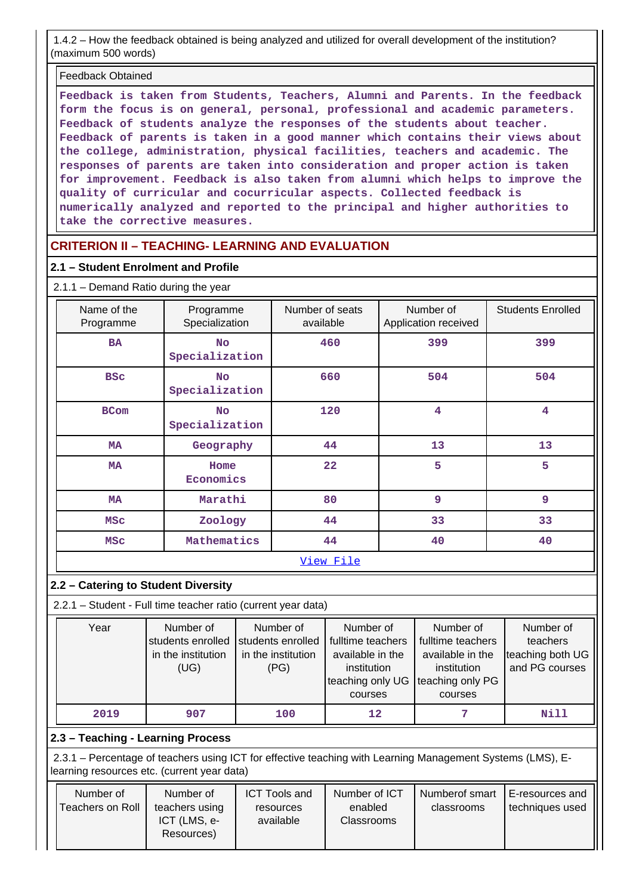1.4.2 – How the feedback obtained is being analyzed and utilized for overall development of the institution? (maximum 500 words)

### Feedback Obtained

**Feedback is taken from Students, Teachers, Alumni and Parents. In the feedback form the focus is on general, personal, professional and academic parameters. Feedback of students analyze the responses of the students about teacher. Feedback of parents is taken in a good manner which contains their views about the college, administration, physical facilities, teachers and academic. The responses of parents are taken into consideration and proper action is taken for improvement. Feedback is also taken from alumni which helps to improve the quality of curricular and cocurricular aspects. Collected feedback is numerically analyzed and reported to the principal and higher authorities to take the corrective measures.**

# **CRITERION II – TEACHING- LEARNING AND EVALUATION**

### **2.1 – Student Enrolment and Profile**

### 2.1.1 – Demand Ratio during the year

| Name of the<br>Programme                   | Programme<br>Specialization | Number of seats<br>available | Number of<br>Application received | <b>Students Enrolled</b> |
|--------------------------------------------|-----------------------------|------------------------------|-----------------------------------|--------------------------|
| <b>BA</b>                                  | <b>No</b><br>Specialization | 460                          | 399                               | 399                      |
| <b>BSC</b>                                 | <b>No</b><br>Specialization |                              | 504                               | 504                      |
| <b>BCom</b><br><b>No</b><br>Specialization |                             | 120                          | $\overline{\mathbf{4}}$           | $\overline{\mathbf{4}}$  |
| Geography<br><b>MA</b>                     |                             | 44                           | 13                                | 13                       |
| <b>MA</b><br>Home<br>Economics             |                             | 22                           | 5                                 | 5                        |
| <b>MA</b>                                  | Marathi                     | 80                           | 9                                 | 9                        |
| <b>MSC</b>                                 | Zoology                     | 44                           | 33                                | 33                       |
| <b>MSC</b>                                 | Mathematics                 | 44                           | 40                                | 40                       |
|                                            |                             | View File                    |                                   |                          |

### **2.2 – Catering to Student Diversity**

2.2.1 – Student - Full time teacher ratio (current year data)

| Year | Number of<br>students enrolled<br>in the institution<br>(UG) | Number of<br>students enrolled<br>in the institution<br>(PG) | Number of<br>fulltime teachers<br>available in the<br>institution<br>teaching only UG | Number of<br>fulltime teachers<br>available in the<br>institution<br>teaching only PG | Number of<br>teachers<br>teaching both UG<br>and PG courses |
|------|--------------------------------------------------------------|--------------------------------------------------------------|---------------------------------------------------------------------------------------|---------------------------------------------------------------------------------------|-------------------------------------------------------------|
|      |                                                              |                                                              | courses                                                                               | courses                                                                               |                                                             |
| 2019 | 907                                                          | 100                                                          | 12                                                                                    |                                                                                       | Nill                                                        |

### **2.3 – Teaching - Learning Process**

 2.3.1 – Percentage of teachers using ICT for effective teaching with Learning Management Systems (LMS), Elearning resources etc. (current year data)

| Number of<br>Teachers on Roll | Number of<br>teachers using<br>ICT (LMS, e-<br>Resources) | <b>ICT Tools and</b><br>resources<br>available | Number of ICT<br>enabled<br>Classrooms | Numberof smart<br>classrooms | E-resources and<br>techniques used |
|-------------------------------|-----------------------------------------------------------|------------------------------------------------|----------------------------------------|------------------------------|------------------------------------|
|                               |                                                           |                                                |                                        |                              |                                    |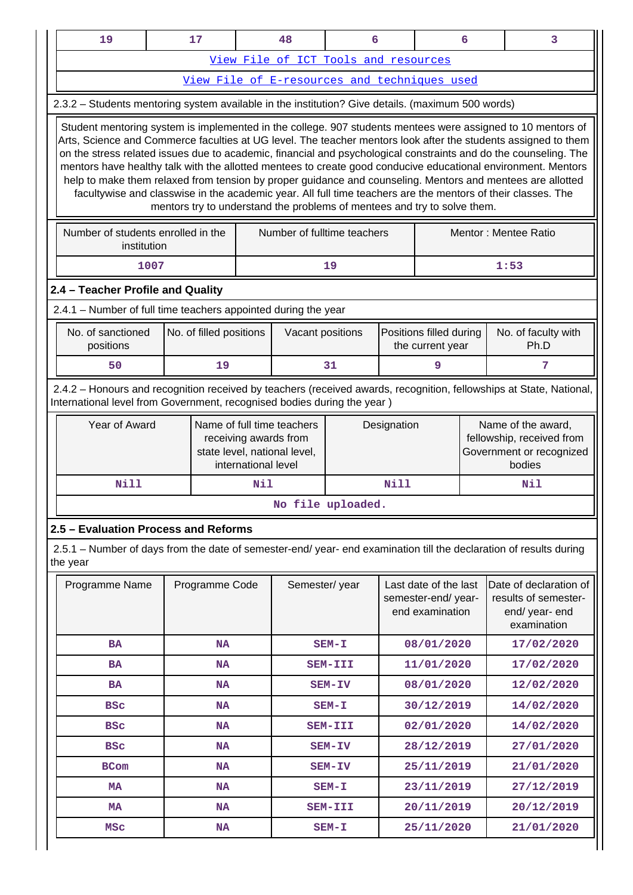|          | 19                                                                                                                                                                                                                                                                                                                                                                                                                                                                                                                                                                                                                                                                                               |  | 17              |                     | 48                                                                                  | 6                  |             |                                                                | 6          | 3                                                                                     |  |
|----------|--------------------------------------------------------------------------------------------------------------------------------------------------------------------------------------------------------------------------------------------------------------------------------------------------------------------------------------------------------------------------------------------------------------------------------------------------------------------------------------------------------------------------------------------------------------------------------------------------------------------------------------------------------------------------------------------------|--|-----------------|---------------------|-------------------------------------------------------------------------------------|--------------------|-------------|----------------------------------------------------------------|------------|---------------------------------------------------------------------------------------|--|
|          |                                                                                                                                                                                                                                                                                                                                                                                                                                                                                                                                                                                                                                                                                                  |  |                 |                     | View File of ICT Tools and resources                                                |                    |             |                                                                |            |                                                                                       |  |
|          |                                                                                                                                                                                                                                                                                                                                                                                                                                                                                                                                                                                                                                                                                                  |  |                 |                     | View File of E-resources and techniques used                                        |                    |             |                                                                |            |                                                                                       |  |
|          | 2.3.2 - Students mentoring system available in the institution? Give details. (maximum 500 words)                                                                                                                                                                                                                                                                                                                                                                                                                                                                                                                                                                                                |  |                 |                     |                                                                                     |                    |             |                                                                |            |                                                                                       |  |
|          | Student mentoring system is implemented in the college. 907 students mentees were assigned to 10 mentors of<br>Arts, Science and Commerce faculties at UG level. The teacher mentors look after the students assigned to them<br>on the stress related issues due to academic, financial and psychological constraints and do the counseling. The<br>mentors have healthy talk with the allotted mentees to create good conducive educational environment. Mentors<br>help to make them relaxed from tension by proper guidance and counseling. Mentors and mentees are allotted<br>facultywise and classwise in the academic year. All full time teachers are the mentors of their classes. The |  |                 |                     | mentors try to understand the problems of mentees and try to solve them.            |                    |             |                                                                |            |                                                                                       |  |
|          | Number of students enrolled in the<br>institution                                                                                                                                                                                                                                                                                                                                                                                                                                                                                                                                                                                                                                                |  |                 |                     | Number of fulltime teachers                                                         |                    |             |                                                                |            | Mentor: Mentee Ratio                                                                  |  |
|          | 19<br>1:53<br>1007                                                                                                                                                                                                                                                                                                                                                                                                                                                                                                                                                                                                                                                                               |  |                 |                     |                                                                                     |                    |             |                                                                |            |                                                                                       |  |
|          | 2.4 - Teacher Profile and Quality                                                                                                                                                                                                                                                                                                                                                                                                                                                                                                                                                                                                                                                                |  |                 |                     |                                                                                     |                    |             |                                                                |            |                                                                                       |  |
|          | 2.4.1 - Number of full time teachers appointed during the year                                                                                                                                                                                                                                                                                                                                                                                                                                                                                                                                                                                                                                   |  |                 |                     |                                                                                     |                    |             |                                                                |            |                                                                                       |  |
|          | No. of sanctioned<br>No. of filled positions<br>Positions filled during<br>No. of faculty with<br>Vacant positions<br>positions<br>Ph.D<br>the current year                                                                                                                                                                                                                                                                                                                                                                                                                                                                                                                                      |  |                 |                     |                                                                                     |                    |             |                                                                |            |                                                                                       |  |
| 50<br>19 |                                                                                                                                                                                                                                                                                                                                                                                                                                                                                                                                                                                                                                                                                                  |  |                 |                     |                                                                                     | 31                 |             | 9                                                              |            | 7                                                                                     |  |
|          | Year of Award                                                                                                                                                                                                                                                                                                                                                                                                                                                                                                                                                                                                                                                                                    |  |                 | international level | Name of full time teachers<br>receiving awards from<br>state level, national level, |                    | Designation |                                                                |            | Name of the award,<br>fellowship, received from<br>Government or recognized<br>bodies |  |
|          | <b>Nill</b>                                                                                                                                                                                                                                                                                                                                                                                                                                                                                                                                                                                                                                                                                      |  |                 | Nil                 |                                                                                     |                    | Nill        |                                                                |            | Nil                                                                                   |  |
|          |                                                                                                                                                                                                                                                                                                                                                                                                                                                                                                                                                                                                                                                                                                  |  |                 |                     | No file uploaded                                                                    |                    |             |                                                                |            |                                                                                       |  |
|          | 2.5 - Evaluation Process and Reforms                                                                                                                                                                                                                                                                                                                                                                                                                                                                                                                                                                                                                                                             |  |                 |                     |                                                                                     |                    |             |                                                                |            |                                                                                       |  |
|          | 2.5.1 – Number of days from the date of semester-end/ year- end examination till the declaration of results during<br>the year                                                                                                                                                                                                                                                                                                                                                                                                                                                                                                                                                                   |  |                 |                     |                                                                                     |                    |             |                                                                |            |                                                                                       |  |
|          | Programme Name                                                                                                                                                                                                                                                                                                                                                                                                                                                                                                                                                                                                                                                                                   |  | Programme Code  |                     | Semester/year                                                                       |                    |             | Last date of the last<br>semester-end/year-<br>end examination |            | Date of declaration of<br>results of semester-<br>end/ year- end<br>examination       |  |
|          | <b>BA</b>                                                                                                                                                                                                                                                                                                                                                                                                                                                                                                                                                                                                                                                                                        |  | <b>NA</b>       |                     |                                                                                     | $SEM-T$            |             | 08/01/2020                                                     |            | 17/02/2020                                                                            |  |
|          | <b>BA</b>                                                                                                                                                                                                                                                                                                                                                                                                                                                                                                                                                                                                                                                                                        |  | <b>NA</b>       |                     |                                                                                     | SEM-III            |             | 11/01/2020                                                     |            | 17/02/2020                                                                            |  |
|          | <b>BA</b>                                                                                                                                                                                                                                                                                                                                                                                                                                                                                                                                                                                                                                                                                        |  | <b>NA</b>       |                     |                                                                                     | SEM-IV             |             | 08/01/2020                                                     |            | 12/02/2020                                                                            |  |
|          | <b>BSC</b>                                                                                                                                                                                                                                                                                                                                                                                                                                                                                                                                                                                                                                                                                       |  | NA              |                     |                                                                                     | $SEM-T$            |             | 30/12/2019                                                     |            | 14/02/2020                                                                            |  |
|          | <b>BSC</b>                                                                                                                                                                                                                                                                                                                                                                                                                                                                                                                                                                                                                                                                                       |  | <b>NA</b>       |                     |                                                                                     | SEM-III            |             | 02/01/2020                                                     |            | 14/02/2020                                                                            |  |
|          | <b>BSC</b><br><b>NA</b>                                                                                                                                                                                                                                                                                                                                                                                                                                                                                                                                                                                                                                                                          |  |                 | SEM-IV              |                                                                                     | 28/12/2019         |             |                                                                | 27/01/2020 |                                                                                       |  |
|          | <b>BCom</b><br><b>NA</b>                                                                                                                                                                                                                                                                                                                                                                                                                                                                                                                                                                                                                                                                         |  |                 |                     | SEM-IV                                                                              |                    | 25/11/2019  |                                                                |            | 21/01/2020                                                                            |  |
|          |                                                                                                                                                                                                                                                                                                                                                                                                                                                                                                                                                                                                                                                                                                  |  |                 |                     |                                                                                     |                    |             |                                                                |            |                                                                                       |  |
|          | <b>MA</b>                                                                                                                                                                                                                                                                                                                                                                                                                                                                                                                                                                                                                                                                                        |  | <b>NA</b>       |                     |                                                                                     | $SEM-T$            |             | 23/11/2019                                                     |            | 27/12/2019                                                                            |  |
|          | MA<br><b>MSC</b>                                                                                                                                                                                                                                                                                                                                                                                                                                                                                                                                                                                                                                                                                 |  | NA<br><b>NA</b> |                     |                                                                                     | SEM-III<br>$SEM-T$ |             | 20/11/2019<br>25/11/2020                                       |            | 20/12/2019<br>21/01/2020                                                              |  |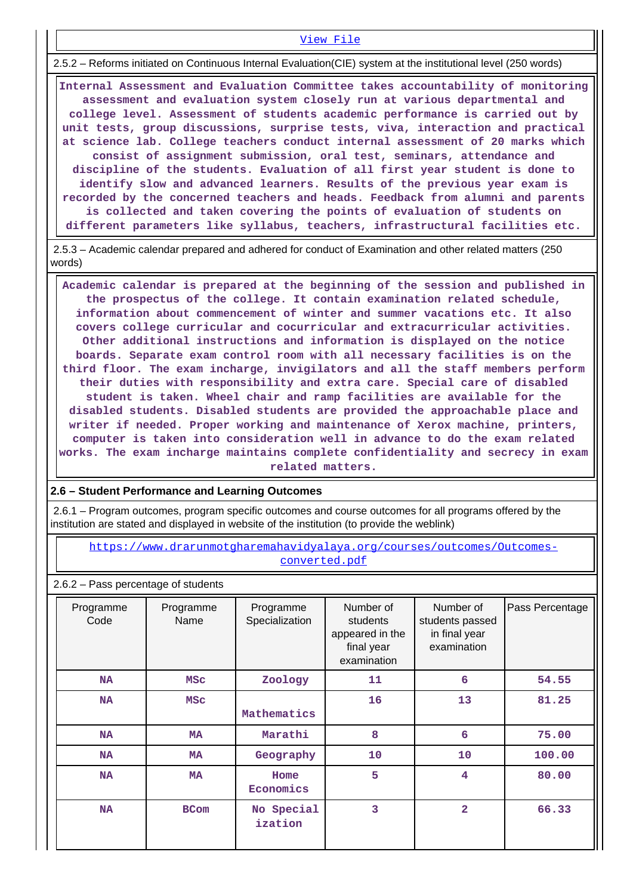2.5.2 – Reforms initiated on Continuous Internal Evaluation(CIE) system at the institutional level (250 words)

[View File](https://assessmentonline.naac.gov.in/public/Postacc/Evaluation/10770_Evaluation_1628497179.xlsx)

 **Internal Assessment and Evaluation Committee takes accountability of monitoring assessment and evaluation system closely run at various departmental and college level. Assessment of students academic performance is carried out by unit tests, group discussions, surprise tests, viva, interaction and practical at science lab. College teachers conduct internal assessment of 20 marks which consist of assignment submission, oral test, seminars, attendance and discipline of the students. Evaluation of all first year student is done to identify slow and advanced learners. Results of the previous year exam is recorded by the concerned teachers and heads. Feedback from alumni and parents is collected and taken covering the points of evaluation of students on different parameters like syllabus, teachers, infrastructural facilities etc.**

 2.5.3 – Academic calendar prepared and adhered for conduct of Examination and other related matters (250 words)

 **Academic calendar is prepared at the beginning of the session and published in the prospectus of the college. It contain examination related schedule, information about commencement of winter and summer vacations etc. It also covers college curricular and cocurricular and extracurricular activities. Other additional instructions and information is displayed on the notice boards. Separate exam control room with all necessary facilities is on the third floor. The exam incharge, invigilators and all the staff members perform their duties with responsibility and extra care. Special care of disabled student is taken. Wheel chair and ramp facilities are available for the disabled students. Disabled students are provided the approachable place and writer if needed. Proper working and maintenance of Xerox machine, printers, computer is taken into consideration well in advance to do the exam related works. The exam incharge maintains complete confidentiality and secrecy in exam related matters.**

### **2.6 – Student Performance and Learning Outcomes**

 2.6.1 – Program outcomes, program specific outcomes and course outcomes for all programs offered by the institution are stated and displayed in website of the institution (to provide the weblink)

 [https://www.drarunmotgharemahavidyalaya.org/courses/outcomes/Outcomes](https://www.drarunmotgharemahavidyalaya.org/courses/outcomes/Outcomes-converted.pdf)[converted.pdf](https://www.drarunmotgharemahavidyalaya.org/courses/outcomes/Outcomes-converted.pdf)

#### 2.6.2 – Pass percentage of students

| Programme<br>Code | Programme<br>Name | Programme<br>Specialization | Number of<br>students<br>appeared in the<br>final year<br>examination | Number of<br>students passed<br>in final year<br>examination | Pass Percentage |
|-------------------|-------------------|-----------------------------|-----------------------------------------------------------------------|--------------------------------------------------------------|-----------------|
| <b>NA</b>         | <b>MSC</b>        | Zoology                     | 11                                                                    | 6                                                            | 54.55           |
| <b>NA</b>         | <b>MSC</b>        | Mathematics                 | 16                                                                    | 13                                                           | 81.25           |
| NA                | <b>MA</b>         | Marathi                     | 8                                                                     | 6                                                            | 75.00           |
| <b>NA</b>         | <b>MA</b>         | Geography                   | 10                                                                    | 10                                                           | 100.00          |
| <b>NA</b>         | <b>MA</b>         | Home<br>Economics           | 5                                                                     | $\overline{\mathbf{4}}$                                      | 80.00           |
| <b>NA</b>         | <b>BCom</b>       | No Special<br>ization       | 3                                                                     | $\overline{2}$                                               | 66.33           |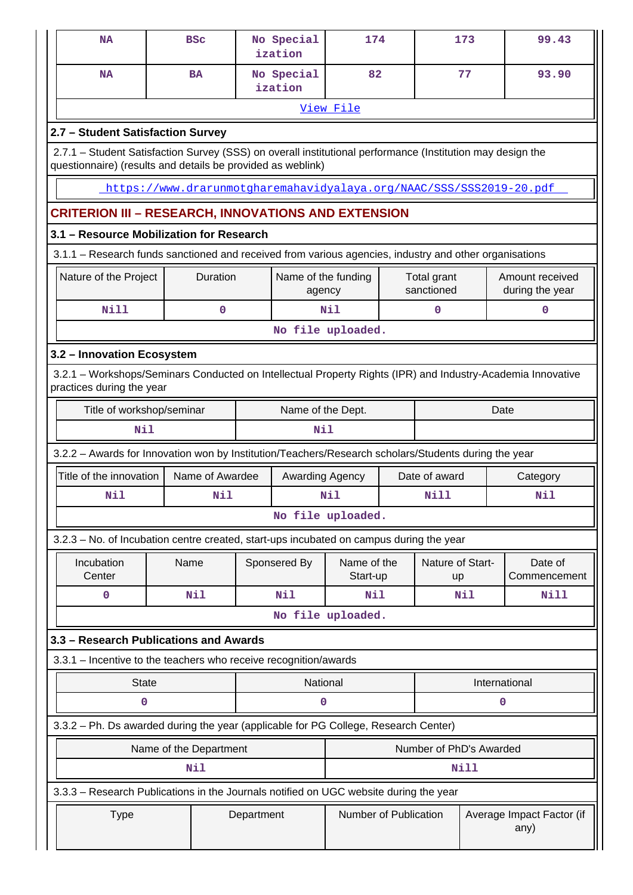| <b>NA</b>                                                                                                                                                                        |                        | <b>BSC</b>      |  | No Special<br>ization         | 174               |  |                           | 173  | 99.43                              |  |
|----------------------------------------------------------------------------------------------------------------------------------------------------------------------------------|------------------------|-----------------|--|-------------------------------|-------------------|--|---------------------------|------|------------------------------------|--|
| <b>NA</b>                                                                                                                                                                        |                        | <b>BA</b>       |  | No Special<br>ization         | 82                |  |                           | 77   | 93.90                              |  |
|                                                                                                                                                                                  |                        |                 |  |                               | View File         |  |                           |      |                                    |  |
| 2.7 - Student Satisfaction Survey                                                                                                                                                |                        |                 |  |                               |                   |  |                           |      |                                    |  |
| 2.7.1 - Student Satisfaction Survey (SSS) on overall institutional performance (Institution may design the                                                                       |                        |                 |  |                               |                   |  |                           |      |                                    |  |
| questionnaire) (results and details be provided as weblink)                                                                                                                      |                        |                 |  |                               |                   |  |                           |      |                                    |  |
| https://www.drarunmotgharemahavidyalaya.org/NAAC/SSS/SSS2019-20.pdf                                                                                                              |                        |                 |  |                               |                   |  |                           |      |                                    |  |
| <b>CRITERION III – RESEARCH, INNOVATIONS AND EXTENSION</b>                                                                                                                       |                        |                 |  |                               |                   |  |                           |      |                                    |  |
| 3.1 - Resource Mobilization for Research<br>3.1.1 - Research funds sanctioned and received from various agencies, industry and other organisations                               |                        |                 |  |                               |                   |  |                           |      |                                    |  |
|                                                                                                                                                                                  |                        |                 |  |                               |                   |  |                           |      |                                    |  |
| Nature of the Project                                                                                                                                                            |                        | Duration        |  | Name of the funding<br>agency |                   |  | Total grant<br>sanctioned |      | Amount received<br>during the year |  |
| Nill                                                                                                                                                                             |                        | 0               |  |                               | Nil               |  | 0                         |      | $\mathbf{0}$                       |  |
|                                                                                                                                                                                  |                        |                 |  |                               | No file uploaded. |  |                           |      |                                    |  |
| 3.2 - Innovation Ecosystem                                                                                                                                                       |                        |                 |  |                               |                   |  |                           |      |                                    |  |
| 3.2.1 - Workshops/Seminars Conducted on Intellectual Property Rights (IPR) and Industry-Academia Innovative<br>practices during the year                                         |                        |                 |  |                               |                   |  |                           |      |                                    |  |
| Title of workshop/seminar                                                                                                                                                        |                        |                 |  | Name of the Dept.             |                   |  |                           | Date |                                    |  |
| Nil                                                                                                                                                                              |                        |                 |  | Nil                           |                   |  |                           |      |                                    |  |
| 3.2.2 - Awards for Innovation won by Institution/Teachers/Research scholars/Students during the year                                                                             |                        |                 |  |                               |                   |  |                           |      |                                    |  |
| Title of the innovation                                                                                                                                                          |                        | Name of Awardee |  | Awarding Agency               |                   |  | Date of award             |      | Category                           |  |
| Nil                                                                                                                                                                              |                        | Nil             |  |                               | Nil               |  | Nill                      |      | Nil                                |  |
|                                                                                                                                                                                  |                        |                 |  |                               | No file uploaded. |  |                           |      |                                    |  |
| 3.2.3 - No. of Incubation centre created, start-ups incubated on campus during the year                                                                                          |                        |                 |  |                               |                   |  |                           |      |                                    |  |
| Incubation                                                                                                                                                                       | Name                   |                 |  | Sponsered By                  | Name of the       |  | Nature of Start-          |      | Date of                            |  |
| Center                                                                                                                                                                           |                        |                 |  |                               | Start-up          |  | up                        |      | Commencement                       |  |
| $\mathbf 0$                                                                                                                                                                      |                        | Nil             |  | Nil                           | Nil               |  |                           | Nil  | <b>Nill</b>                        |  |
|                                                                                                                                                                                  |                        |                 |  |                               | No file uploaded. |  |                           |      |                                    |  |
| 3.3 - Research Publications and Awards                                                                                                                                           |                        |                 |  |                               |                   |  |                           |      |                                    |  |
| 3.3.1 - Incentive to the teachers who receive recognition/awards                                                                                                                 |                        |                 |  |                               |                   |  |                           |      |                                    |  |
| <b>State</b>                                                                                                                                                                     |                        |                 |  | National                      |                   |  |                           |      | International                      |  |
| $\mathbf 0$<br>0<br>0                                                                                                                                                            |                        |                 |  |                               |                   |  |                           |      |                                    |  |
| 3.3.2 - Ph. Ds awarded during the year (applicable for PG College, Research Center)                                                                                              |                        |                 |  |                               |                   |  |                           |      |                                    |  |
|                                                                                                                                                                                  | Name of the Department |                 |  |                               |                   |  | Number of PhD's Awarded   |      |                                    |  |
|                                                                                                                                                                                  |                        | Nil             |  |                               |                   |  |                           | Nill |                                    |  |
|                                                                                                                                                                                  |                        |                 |  |                               |                   |  |                           |      |                                    |  |
| 3.3.3 - Research Publications in the Journals notified on UGC website during the year<br>Number of Publication<br>Department<br>Average Impact Factor (if<br><b>Type</b><br>any) |                        |                 |  |                               |                   |  |                           |      |                                    |  |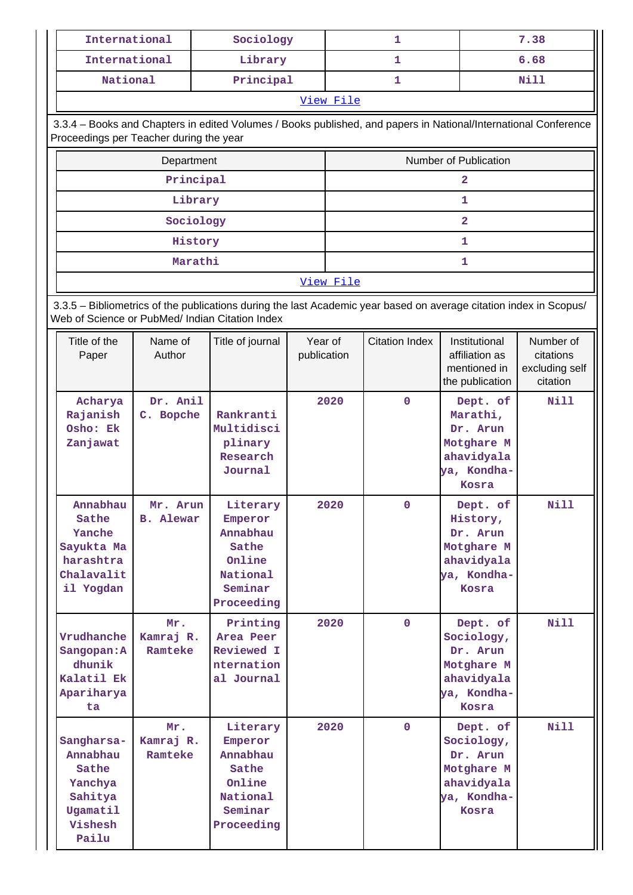| International                                                                                                                                                         |                              | Sociology                                                                               |                        |                       | 1                     |                                                                                        | 7.38                                                 |  |  |  |
|-----------------------------------------------------------------------------------------------------------------------------------------------------------------------|------------------------------|-----------------------------------------------------------------------------------------|------------------------|-----------------------|-----------------------|----------------------------------------------------------------------------------------|------------------------------------------------------|--|--|--|
| International                                                                                                                                                         |                              | Library                                                                                 |                        |                       | 1                     |                                                                                        | 6.68                                                 |  |  |  |
| <b>National</b>                                                                                                                                                       |                              | Principal                                                                               |                        |                       | 1                     |                                                                                        | <b>Nill</b>                                          |  |  |  |
|                                                                                                                                                                       |                              |                                                                                         |                        | View File             |                       |                                                                                        |                                                      |  |  |  |
| 3.3.4 - Books and Chapters in edited Volumes / Books published, and papers in National/International Conference<br>Proceedings per Teacher during the year            |                              |                                                                                         |                        |                       |                       |                                                                                        |                                                      |  |  |  |
|                                                                                                                                                                       | Department                   |                                                                                         |                        | Number of Publication |                       |                                                                                        |                                                      |  |  |  |
|                                                                                                                                                                       | Principal                    |                                                                                         |                        | $\mathbf{2}$          |                       |                                                                                        |                                                      |  |  |  |
|                                                                                                                                                                       | Library                      |                                                                                         |                        |                       |                       | 1                                                                                      |                                                      |  |  |  |
|                                                                                                                                                                       | Sociology                    |                                                                                         |                        |                       |                       | $\overline{2}$                                                                         |                                                      |  |  |  |
|                                                                                                                                                                       | History                      |                                                                                         |                        |                       |                       | $\mathbf{1}$                                                                           |                                                      |  |  |  |
|                                                                                                                                                                       | Marathi                      |                                                                                         |                        |                       |                       | 1                                                                                      |                                                      |  |  |  |
|                                                                                                                                                                       |                              | View File                                                                               |                        |                       |                       |                                                                                        |                                                      |  |  |  |
| 3.3.5 - Bibliometrics of the publications during the last Academic year based on average citation index in Scopus/<br>Web of Science or PubMed/ Indian Citation Index |                              |                                                                                         |                        |                       |                       |                                                                                        |                                                      |  |  |  |
| Title of the<br>Paper                                                                                                                                                 | Name of<br>Author            | Title of journal                                                                        | Year of<br>publication |                       | <b>Citation Index</b> | Institutional<br>affiliation as<br>mentioned in<br>the publication                     | Number of<br>citations<br>excluding self<br>citation |  |  |  |
| Acharya<br>Rajanish<br>Osho: Ek<br>Zanjawat                                                                                                                           | Dr. Anil<br>C. Bopche        | Rankranti<br>Multidisci<br>plinary<br>Research<br>Journal                               |                        | 2020                  | $\mathbf 0$           | Dept. of<br>Marathi,<br>Dr. Arun<br>Motghare M<br>ahavidyala<br>ya, Kondha-<br>Kosra   | Nill                                                 |  |  |  |
| Annabhau<br>Sathe<br>Yanche<br>Sayukta Ma<br>harashtra<br>Chalavalit<br>il Yogdan                                                                                     | Mr. Arun<br><b>B.</b> Alewar | Literary<br>Emperor<br>Annabhau<br>Sathe<br>Online<br>National<br>Seminar<br>Proceeding |                        | 2020                  | 0                     | Dept. of<br>History,<br>Dr. Arun<br>Motghare M<br>ahavidyala<br>ya, Kondha-<br>Kosra   | Nill                                                 |  |  |  |
| Vrudhanche<br>Sangopan: A<br>dhunik<br>Kalatil Ek<br>Apariharya<br>ta                                                                                                 | Mr.<br>Kamraj R.<br>Ramteke  | Printing<br>Area Peer<br>Reviewed I<br>nternation<br>al Journal                         |                        | 2020                  | $\mathbf{O}$          | Dept. of<br>Sociology,<br>Dr. Arun<br>Motghare M<br>ahavidyala<br>ya, Kondha-<br>Kosra | Nill                                                 |  |  |  |
| Sangharsa-<br>Annabhau<br>Sathe<br>Yanchya<br>Sahitya<br>Ugamatil<br>Vishesh<br>Pailu                                                                                 | Mr.<br>Kamraj R.<br>Ramteke  | Literary<br>Emperor<br>Annabhau<br>Sathe<br>Online<br>National<br>Seminar<br>Proceeding |                        | 2020                  | $\mathbf{O}$          | Dept. of<br>Sociology,<br>Dr. Arun<br>Motghare M<br>ahavidyala<br>ya, Kondha-<br>Kosra | Nill                                                 |  |  |  |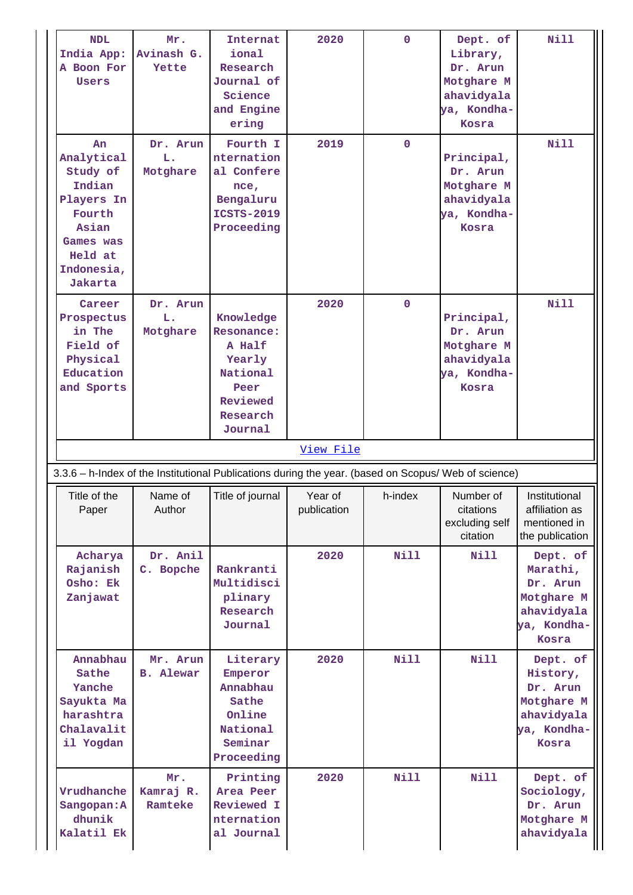| <b>NDL</b><br>India App:<br>A Boon For<br>Users                                                                          | Mr.<br>Avinash G.<br>Yette   | Internat<br>ional<br>Research<br>Journal of<br>Science<br>and Engine<br>ering                        | 2020                   | $\mathbf 0$ | Dept. of<br>Library,<br>Dr. Arun<br>Motghare M<br>ahavidyala<br>ya, Kondha-<br>Kosra | <b>Nill</b>                                                                          |
|--------------------------------------------------------------------------------------------------------------------------|------------------------------|------------------------------------------------------------------------------------------------------|------------------------|-------------|--------------------------------------------------------------------------------------|--------------------------------------------------------------------------------------|
| An<br>Analytical<br>Study of<br>Indian<br>Players In<br>Fourth<br>Asian<br>Games was<br>Held at<br>Indonesia,<br>Jakarta | Dr. Arun<br>L.<br>Motghare   | Fourth I<br>nternation<br>al Confere<br>nce,<br>Bengaluru<br><b>ICSTS-2019</b><br>Proceeding         | 2019                   | $\mathbf 0$ | Principal,<br>Dr. Arun<br>Motghare M<br>ahavidyala<br>ya, Kondha-<br>Kosra           | <b>Nill</b>                                                                          |
| Career<br>Prospectus<br>in The<br>Field of<br>Physical<br>Education<br>and Sports                                        | Dr. Arun<br>L.<br>Motghare   | Knowledge<br>Resonance:<br>A Half<br>Yearly<br>National<br>Peer<br>Reviewed<br>Research<br>Journal   | 2020                   | $\Omega$    | Principal,<br>Dr. Arun<br>Motghare M<br>ahavidyala<br>ya, Kondha-<br>Kosra           | <b>Nill</b>                                                                          |
|                                                                                                                          |                              |                                                                                                      |                        |             |                                                                                      |                                                                                      |
|                                                                                                                          |                              | 3.3.6 - h-Index of the Institutional Publications during the year. (based on Scopus/ Web of science) | View File              |             |                                                                                      |                                                                                      |
| Title of the<br>Paper                                                                                                    | Name of<br>Author            | Title of journal                                                                                     | Year of<br>publication | h-index     | Number of<br>citations<br>excluding self<br>citation                                 | Institutional<br>affiliation as<br>mentioned in<br>the publication                   |
| Acharya<br>Rajanish<br>Osho: Ek<br>Zanjawat                                                                              | Dr. Anil<br>C. Bopche        | Rankranti<br>Multidisci<br>plinary<br>Research<br>Journal                                            | 2020                   | <b>Nill</b> | <b>Nill</b>                                                                          | Dept. of<br>Marathi,<br>Dr. Arun<br>Motghare M<br>ahavidyala<br>ya, Kondha-<br>Kosra |
| Annabhau<br>Sathe<br>Yanche<br>Sayukta Ma<br>harashtra<br>Chalavalit<br>il Yogdan                                        | Mr. Arun<br><b>B.</b> Alewar | Literary<br>Emperor<br>Annabhau<br>Sathe<br>Online<br>National<br>Seminar<br>Proceeding              | 2020                   | Nill        | <b>Nill</b>                                                                          | Dept. of<br>History,<br>Dr. Arun<br>Motghare M<br>ahavidyala<br>ya, Kondha-<br>Kosra |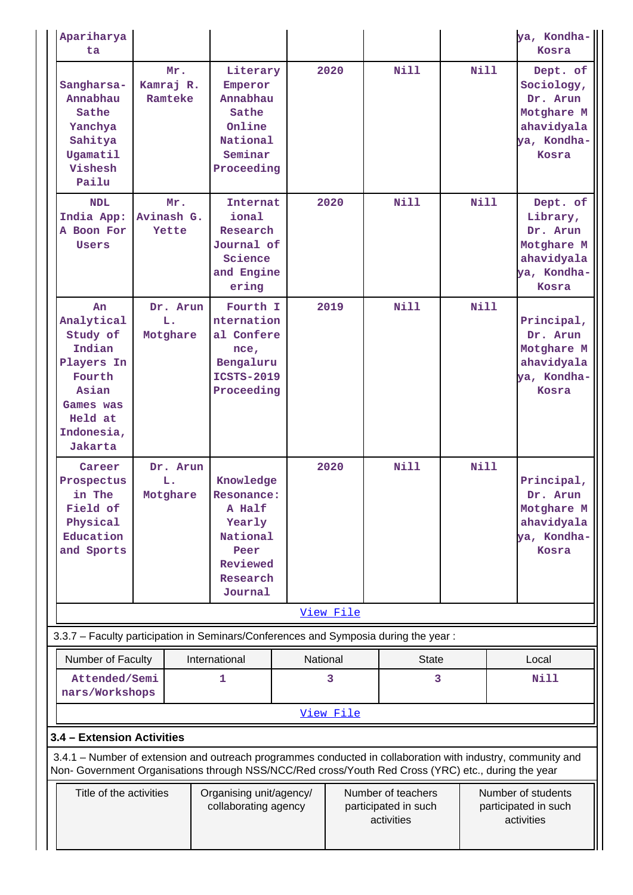| Apariharya<br>ta                                                                                                                  |                             |                                                                                                    |               |                                                          |             | ya, Kondha-<br>Kosra                                                                                        |
|-----------------------------------------------------------------------------------------------------------------------------------|-----------------------------|----------------------------------------------------------------------------------------------------|---------------|----------------------------------------------------------|-------------|-------------------------------------------------------------------------------------------------------------|
| Sangharsa-<br>Annabhau<br>Sathe<br>Yanchya<br>Sahitya<br>Ugamatil<br>Vishesh<br>Pailu                                             | Mr.<br>Kamraj R.<br>Ramteke | Literary<br>Emperor<br>Annabhau<br>Sathe<br>Online<br>National<br>Seminar<br>Proceeding            | 2020          | Nill                                                     | Nill        | Dept. of<br>Sociology,<br>Dr. Arun<br>Motghare M<br>ahavidyala<br>ya, Kondha-<br>Kosra                      |
| <b>NDL</b><br>India App:<br>A Boon For<br>Users                                                                                   | Mr.<br>Avinash G.<br>Yette  | Internat<br>ional<br>Research<br>Journal of<br>Science<br>and Engine<br>ering                      | 2020          | <b>Nill</b>                                              | Nill        | Dept. of<br>Library,<br>Dr. Arun<br>Motghare M<br>ahavidyala<br>ya, Kondha-<br>Kosra                        |
| An<br>Analytical<br>Study of<br>Indian<br>Players In<br>Fourth<br>Asian<br>Games was<br>Held at<br>Indonesia,<br>Jakarta          | Dr. Arun<br>L.<br>Motghare  | Fourth I<br>nternation<br>al Confere<br>nce,<br>Bengaluru<br><b>ICSTS-2019</b><br>Proceeding       | 2019          | <b>Nill</b>                                              | Nill        | Principal,<br>Dr. Arun<br>Motghare M<br>ahavidyala<br>ya, Kondha-<br>Kosra                                  |
| Career<br>Prospectus<br>in The<br>Field of<br>Physical<br>Education<br>and Sports                                                 | Dr. Arun<br>L.<br>Motghare  | Knowledge<br>Resonance:<br>A Half<br>Yearly<br>National<br>Peer<br>Reviewed<br>Research<br>Journal | 2020          | <b>Nill</b>                                              | <b>Nill</b> | Principal,<br>Dr. Arun<br>Motghare M<br>ahavidyala<br>ya, Kondha-<br>Kosra                                  |
|                                                                                                                                   |                             |                                                                                                    | View File     |                                                          |             |                                                                                                             |
| 3.3.7 - Faculty participation in Seminars/Conferences and Symposia during the year:                                               |                             |                                                                                                    |               |                                                          |             |                                                                                                             |
| Number of Faculty<br>Attended/Semi<br>nars/Workshops                                                                              |                             | International<br>1                                                                                 | National<br>3 | <b>State</b><br>3                                        |             | Local<br><b>Nill</b>                                                                                        |
|                                                                                                                                   |                             |                                                                                                    | View File     |                                                          |             |                                                                                                             |
| 3.4 - Extension Activities<br>Non- Government Organisations through NSS/NCC/Red cross/Youth Red Cross (YRC) etc., during the year |                             |                                                                                                    |               |                                                          |             | 3.4.1 – Number of extension and outreach programmes conducted in collaboration with industry, community and |
| Title of the activities                                                                                                           |                             | Organising unit/agency/<br>collaborating agency                                                    |               | Number of teachers<br>participated in such<br>activities |             | Number of students<br>participated in such<br>activities                                                    |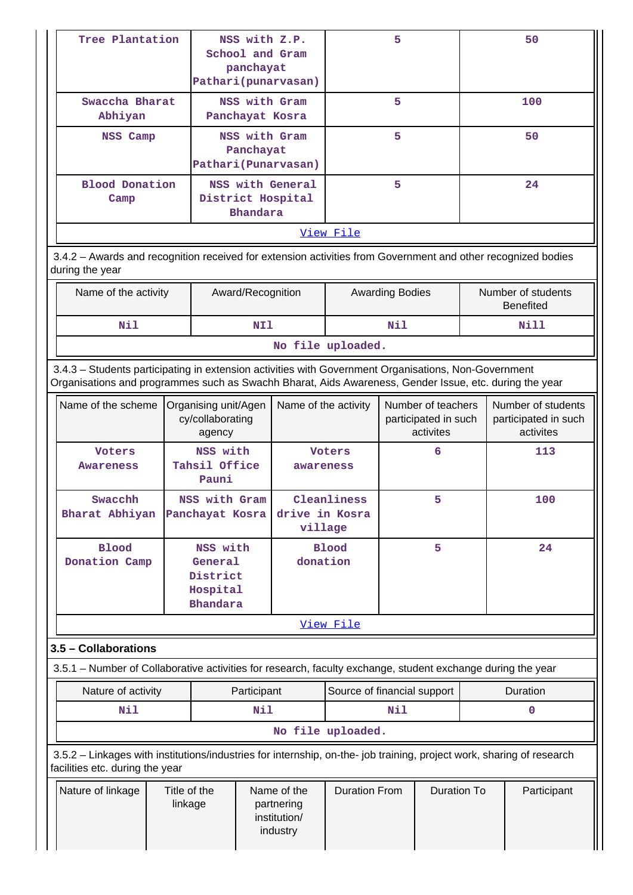|                                                                                                                                                                                                                | Tree Plantation                           |                                                                |                                                       | NSS with Z.P.<br>School and Gram<br>panchayat<br>Pathari (punarvasan) |                               | 5                      |                                                         |             | 50                                                      |
|----------------------------------------------------------------------------------------------------------------------------------------------------------------------------------------------------------------|-------------------------------------------|----------------------------------------------------------------|-------------------------------------------------------|-----------------------------------------------------------------------|-------------------------------|------------------------|---------------------------------------------------------|-------------|---------------------------------------------------------|
| Swaccha Bharat<br>Abhiyan                                                                                                                                                                                      |                                           |                                                                |                                                       | NSS with Gram<br>Panchayat Kosra                                      |                               | 5                      |                                                         |             | 100                                                     |
| NSS Camp                                                                                                                                                                                                       |                                           |                                                                | Panchayat                                             | NSS with Gram<br>Pathari (Punarvasan)                                 | 5                             |                        |                                                         |             | 50                                                      |
| Blood Donation<br>Camp                                                                                                                                                                                         |                                           | NSS with General<br>District Hospital<br><b>Bhandara</b>       |                                                       | 5                                                                     |                               |                        | 24                                                      |             |                                                         |
|                                                                                                                                                                                                                |                                           |                                                                |                                                       |                                                                       | View File                     |                        |                                                         |             |                                                         |
| 3.4.2 - Awards and recognition received for extension activities from Government and other recognized bodies<br>during the year                                                                                |                                           |                                                                |                                                       |                                                                       |                               |                        |                                                         |             |                                                         |
|                                                                                                                                                                                                                | Name of the activity<br>Award/Recognition |                                                                |                                                       |                                                                       |                               | <b>Awarding Bodies</b> |                                                         |             | Number of students<br><b>Benefited</b>                  |
| Nil                                                                                                                                                                                                            |                                           |                                                                | NI1                                                   |                                                                       |                               | Nil                    |                                                         |             | Nill                                                    |
|                                                                                                                                                                                                                |                                           |                                                                |                                                       |                                                                       | No file uploaded.             |                        |                                                         |             |                                                         |
| 3.4.3 - Students participating in extension activities with Government Organisations, Non-Government<br>Organisations and programmes such as Swachh Bharat, Aids Awareness, Gender Issue, etc. during the year |                                           |                                                                |                                                       |                                                                       |                               |                        |                                                         |             |                                                         |
| Name of the scheme                                                                                                                                                                                             |                                           | Organising unit/Agen<br>cy/collaborating<br>agency             |                                                       | Name of the activity                                                  |                               |                        | Number of teachers<br>participated in such<br>activites |             | Number of students<br>participated in such<br>activites |
| <b>Voters</b><br><b>Awareness</b>                                                                                                                                                                              |                                           | NSS with<br>Tahsil Office<br>Pauni                             | awareness                                             |                                                                       | Voters                        |                        | 6                                                       |             | 113                                                     |
| Swacchh<br>Bharat Abhiyan Panchayat Kosra                                                                                                                                                                      |                                           | NSS with Gram                                                  |                                                       | Cleanliness<br>drive in Kosra<br>village                              |                               |                        | 5                                                       |             | 100                                                     |
| <b>Blood</b><br>Donation Camp                                                                                                                                                                                  |                                           | NSS with<br>General<br>District<br>Hospital<br><b>Bhandara</b> |                                                       |                                                                       | 5<br><b>Blood</b><br>donation |                        |                                                         |             | 24                                                      |
|                                                                                                                                                                                                                |                                           |                                                                |                                                       |                                                                       | <u>View File</u>              |                        |                                                         |             |                                                         |
| 3.5 - Collaborations                                                                                                                                                                                           |                                           |                                                                |                                                       |                                                                       |                               |                        |                                                         |             |                                                         |
| 3.5.1 – Number of Collaborative activities for research, faculty exchange, student exchange during the year                                                                                                    |                                           |                                                                |                                                       |                                                                       |                               |                        |                                                         |             |                                                         |
| Nature of activity                                                                                                                                                                                             |                                           |                                                                | Participant                                           |                                                                       | Source of financial support   |                        |                                                         |             | Duration                                                |
| Nil                                                                                                                                                                                                            |                                           |                                                                | Nil                                                   |                                                                       |                               | Nil                    |                                                         |             | $\mathbf 0$                                             |
|                                                                                                                                                                                                                |                                           |                                                                |                                                       |                                                                       | No file uploaded.             |                        |                                                         |             |                                                         |
| 3.5.2 - Linkages with institutions/industries for internship, on-the- job training, project work, sharing of research<br>facilities etc. during the year                                                       |                                           |                                                                |                                                       |                                                                       |                               |                        |                                                         |             |                                                         |
| Nature of linkage                                                                                                                                                                                              | Title of the<br>linkage                   |                                                                | Name of the<br>partnering<br>institution/<br>industry | <b>Duration From</b>                                                  | <b>Duration To</b>            |                        |                                                         | Participant |                                                         |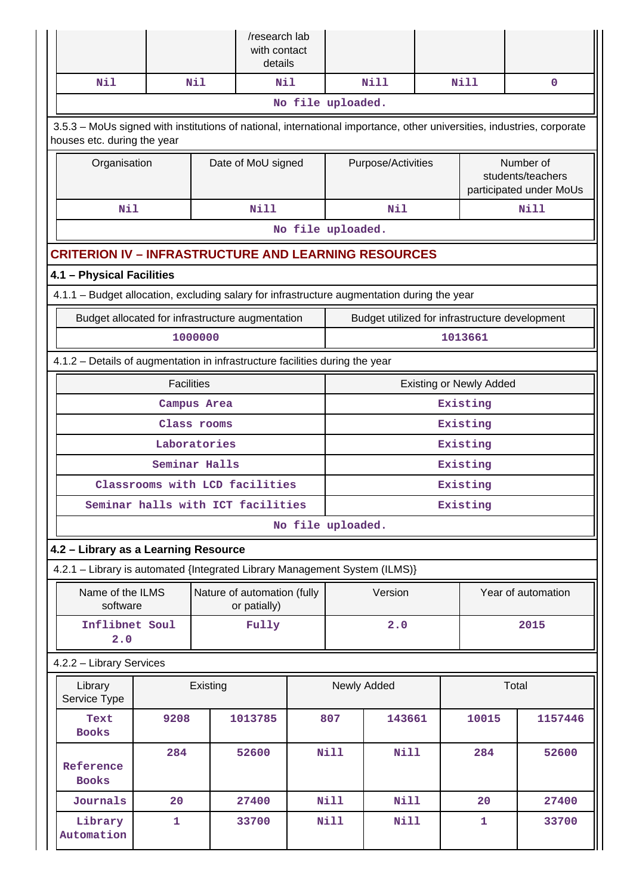|                                                                                                                                                       |                                                                              |               | /research lab<br>with contact<br>details    |  |                    |             |  |                                                           |                                                |  |
|-------------------------------------------------------------------------------------------------------------------------------------------------------|------------------------------------------------------------------------------|---------------|---------------------------------------------|--|--------------------|-------------|--|-----------------------------------------------------------|------------------------------------------------|--|
| Nil                                                                                                                                                   |                                                                              | Nil           | N11                                         |  |                    | <b>Nill</b> |  | <b>Nill</b>                                               | $\mathbf{0}$                                   |  |
|                                                                                                                                                       |                                                                              |               |                                             |  | No file uploaded.  |             |  |                                                           |                                                |  |
| 3.5.3 - MoUs signed with institutions of national, international importance, other universities, industries, corporate<br>houses etc. during the year |                                                                              |               |                                             |  |                    |             |  |                                                           |                                                |  |
| Organisation                                                                                                                                          |                                                                              |               | Date of MoU signed                          |  | Purpose/Activities |             |  | Number of<br>students/teachers<br>participated under MoUs |                                                |  |
| Nil                                                                                                                                                   |                                                                              |               | <b>Nill</b>                                 |  |                    | Nil         |  |                                                           | <b>Nill</b>                                    |  |
|                                                                                                                                                       | No file uploaded.                                                            |               |                                             |  |                    |             |  |                                                           |                                                |  |
| <b>CRITERION IV - INFRASTRUCTURE AND LEARNING RESOURCES</b>                                                                                           |                                                                              |               |                                             |  |                    |             |  |                                                           |                                                |  |
| 4.1 - Physical Facilities                                                                                                                             |                                                                              |               |                                             |  |                    |             |  |                                                           |                                                |  |
| 4.1.1 - Budget allocation, excluding salary for infrastructure augmentation during the year                                                           |                                                                              |               |                                             |  |                    |             |  |                                                           |                                                |  |
| Budget allocated for infrastructure augmentation                                                                                                      |                                                                              |               |                                             |  |                    |             |  |                                                           | Budget utilized for infrastructure development |  |
| 1000000                                                                                                                                               |                                                                              |               |                                             |  |                    |             |  | 1013661                                                   |                                                |  |
|                                                                                                                                                       | 4.1.2 - Details of augmentation in infrastructure facilities during the year |               |                                             |  |                    |             |  |                                                           |                                                |  |
|                                                                                                                                                       | <b>Facilities</b>                                                            |               |                                             |  |                    |             |  | <b>Existing or Newly Added</b>                            |                                                |  |
|                                                                                                                                                       |                                                                              | Campus Area   |                                             |  | Existing           |             |  |                                                           |                                                |  |
|                                                                                                                                                       |                                                                              | Class rooms   |                                             |  | Existing           |             |  |                                                           |                                                |  |
|                                                                                                                                                       |                                                                              | Laboratories  |                                             |  | Existing           |             |  |                                                           |                                                |  |
|                                                                                                                                                       |                                                                              | Seminar Halls |                                             |  | Existing           |             |  |                                                           |                                                |  |
|                                                                                                                                                       |                                                                              |               | Classrooms with LCD facilities              |  | Existing           |             |  |                                                           |                                                |  |
| Seminar halls with ICT facilities                                                                                                                     |                                                                              |               |                                             |  | Existing           |             |  |                                                           |                                                |  |
|                                                                                                                                                       |                                                                              |               |                                             |  | No file uploaded.  |             |  |                                                           |                                                |  |
| 4.2 - Library as a Learning Resource                                                                                                                  |                                                                              |               |                                             |  |                    |             |  |                                                           |                                                |  |
| 4.2.1 - Library is automated {Integrated Library Management System (ILMS)}                                                                            |                                                                              |               |                                             |  |                    |             |  |                                                           |                                                |  |
| Name of the ILMS<br>software                                                                                                                          |                                                                              |               | Nature of automation (fully<br>or patially) |  |                    | Version     |  |                                                           | Year of automation                             |  |
| Inflibnet Soul<br>2.0                                                                                                                                 |                                                                              |               | Fully                                       |  |                    | 2.0         |  |                                                           | 2015                                           |  |
| 4.2.2 - Library Services                                                                                                                              |                                                                              |               |                                             |  |                    |             |  |                                                           |                                                |  |
| Library<br>Service Type                                                                                                                               |                                                                              |               | Newly Added                                 |  |                    | Total       |  |                                                           |                                                |  |
| Text<br><b>Books</b>                                                                                                                                  | 9208                                                                         |               | 1013785                                     |  | 807                | 143661      |  | 10015                                                     | 1157446                                        |  |
| Reference<br><b>Books</b>                                                                                                                             | 284                                                                          |               |                                             |  | <b>Nill</b>        | Nill        |  | 284                                                       | 52600                                          |  |
| Journals                                                                                                                                              | 20                                                                           |               | 27400                                       |  | <b>Nill</b>        | <b>Nill</b> |  | 20                                                        | 27400                                          |  |
| Library<br>Automation                                                                                                                                 | 1                                                                            |               |                                             |  | <b>Nill</b>        | <b>Nill</b> |  | 1                                                         | 33700                                          |  |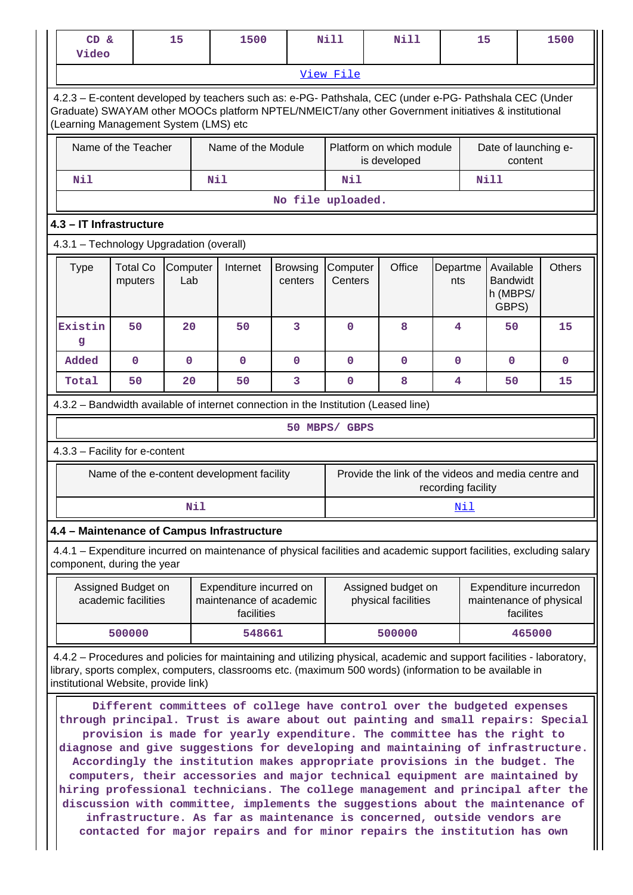| 15<br><b>Nill</b><br><b>Nill</b><br>CD &<br>1500<br>15<br>1500<br>Video                                                                            |                                                                                                                                                                                                                                                                                                                                                                                                                                                                                                                                                                                                                                                                                                                                                                                                                                                                                                                                                                          |                 |     |                                                                  |                            |                     |  |                                           |                    |     |                                                   |           |                                                     |
|----------------------------------------------------------------------------------------------------------------------------------------------------|--------------------------------------------------------------------------------------------------------------------------------------------------------------------------------------------------------------------------------------------------------------------------------------------------------------------------------------------------------------------------------------------------------------------------------------------------------------------------------------------------------------------------------------------------------------------------------------------------------------------------------------------------------------------------------------------------------------------------------------------------------------------------------------------------------------------------------------------------------------------------------------------------------------------------------------------------------------------------|-----------------|-----|------------------------------------------------------------------|----------------------------|---------------------|--|-------------------------------------------|--------------------|-----|---------------------------------------------------|-----------|-----------------------------------------------------|
|                                                                                                                                                    |                                                                                                                                                                                                                                                                                                                                                                                                                                                                                                                                                                                                                                                                                                                                                                                                                                                                                                                                                                          |                 |     |                                                                  |                            | <u>View File</u>    |  |                                           |                    |     |                                                   |           |                                                     |
|                                                                                                                                                    | 4.2.3 - E-content developed by teachers such as: e-PG- Pathshala, CEC (under e-PG- Pathshala CEC (Under<br>Graduate) SWAYAM other MOOCs platform NPTEL/NMEICT/any other Government initiatives & institutional<br>(Learning Management System (LMS) etc                                                                                                                                                                                                                                                                                                                                                                                                                                                                                                                                                                                                                                                                                                                  |                 |     |                                                                  |                            |                     |  |                                           |                    |     |                                                   |           |                                                     |
|                                                                                                                                                    | Name of the Teacher<br>Name of the Module<br>Platform on which module<br>Date of launching e-<br>is developed<br>content                                                                                                                                                                                                                                                                                                                                                                                                                                                                                                                                                                                                                                                                                                                                                                                                                                                 |                 |     |                                                                  |                            |                     |  |                                           |                    |     |                                                   |           |                                                     |
| Nil                                                                                                                                                |                                                                                                                                                                                                                                                                                                                                                                                                                                                                                                                                                                                                                                                                                                                                                                                                                                                                                                                                                                          |                 | Nil |                                                                  |                            | Nil                 |  |                                           |                    |     | <b>Nill</b>                                       |           |                                                     |
|                                                                                                                                                    |                                                                                                                                                                                                                                                                                                                                                                                                                                                                                                                                                                                                                                                                                                                                                                                                                                                                                                                                                                          |                 |     |                                                                  | No file uploaded.          |                     |  |                                           |                    |     |                                                   |           |                                                     |
| 4.3 - IT Infrastructure                                                                                                                            |                                                                                                                                                                                                                                                                                                                                                                                                                                                                                                                                                                                                                                                                                                                                                                                                                                                                                                                                                                          |                 |     |                                                                  |                            |                     |  |                                           |                    |     |                                                   |           |                                                     |
| 4.3.1 - Technology Upgradation (overall)                                                                                                           |                                                                                                                                                                                                                                                                                                                                                                                                                                                                                                                                                                                                                                                                                                                                                                                                                                                                                                                                                                          |                 |     |                                                                  |                            |                     |  |                                           |                    |     |                                                   |           |                                                     |
| <b>Type</b>                                                                                                                                        | <b>Total Co</b><br>mputers                                                                                                                                                                                                                                                                                                                                                                                                                                                                                                                                                                                                                                                                                                                                                                                                                                                                                                                                               | Computer<br>Lab |     | Internet                                                         | <b>Browsing</b><br>centers | Computer<br>Centers |  | Office                                    | Departme<br>nts    |     | Available<br><b>Bandwidt</b><br>h (MBPS/<br>GBPS) |           | <b>Others</b>                                       |
| Existin<br>g                                                                                                                                       | 50                                                                                                                                                                                                                                                                                                                                                                                                                                                                                                                                                                                                                                                                                                                                                                                                                                                                                                                                                                       | 20              |     | 50                                                               | 3                          | $\mathbf 0$         |  | 8                                         | 4                  |     | 50                                                |           | 15                                                  |
| Added                                                                                                                                              | $\mathbf 0$                                                                                                                                                                                                                                                                                                                                                                                                                                                                                                                                                                                                                                                                                                                                                                                                                                                                                                                                                              | $\mathbf 0$     |     | $\mathbf 0$                                                      | $\mathbf 0$                | $\mathbf{0}$        |  | $\mathbf 0$                               | $\mathbf 0$        |     | $\mathbf 0$                                       |           | $\mathbf{0}$                                        |
| Total                                                                                                                                              | 50                                                                                                                                                                                                                                                                                                                                                                                                                                                                                                                                                                                                                                                                                                                                                                                                                                                                                                                                                                       | 20              |     | 50                                                               | 3                          | $\mathbf{0}$        |  | 8                                         | 4                  |     | 50                                                |           | 15                                                  |
| 4.3.2 – Bandwidth available of internet connection in the Institution (Leased line)                                                                |                                                                                                                                                                                                                                                                                                                                                                                                                                                                                                                                                                                                                                                                                                                                                                                                                                                                                                                                                                          |                 |     |                                                                  |                            |                     |  |                                           |                    |     |                                                   |           |                                                     |
|                                                                                                                                                    |                                                                                                                                                                                                                                                                                                                                                                                                                                                                                                                                                                                                                                                                                                                                                                                                                                                                                                                                                                          |                 |     |                                                                  |                            | 50 MBPS/ GBPS       |  |                                           |                    |     |                                                   |           |                                                     |
| 4.3.3 - Facility for e-content                                                                                                                     |                                                                                                                                                                                                                                                                                                                                                                                                                                                                                                                                                                                                                                                                                                                                                                                                                                                                                                                                                                          |                 |     |                                                                  |                            |                     |  |                                           |                    |     |                                                   |           |                                                     |
|                                                                                                                                                    |                                                                                                                                                                                                                                                                                                                                                                                                                                                                                                                                                                                                                                                                                                                                                                                                                                                                                                                                                                          |                 |     | Name of the e-content development facility                       |                            |                     |  |                                           | recording facility |     |                                                   |           | Provide the link of the videos and media centre and |
|                                                                                                                                                    |                                                                                                                                                                                                                                                                                                                                                                                                                                                                                                                                                                                                                                                                                                                                                                                                                                                                                                                                                                          |                 | Nil |                                                                  |                            |                     |  |                                           |                    | Nil |                                                   |           |                                                     |
| 4.4 - Maintenance of Campus Infrastructure                                                                                                         |                                                                                                                                                                                                                                                                                                                                                                                                                                                                                                                                                                                                                                                                                                                                                                                                                                                                                                                                                                          |                 |     |                                                                  |                            |                     |  |                                           |                    |     |                                                   |           |                                                     |
| 4.4.1 – Expenditure incurred on maintenance of physical facilities and academic support facilities, excluding salary<br>component, during the year |                                                                                                                                                                                                                                                                                                                                                                                                                                                                                                                                                                                                                                                                                                                                                                                                                                                                                                                                                                          |                 |     |                                                                  |                            |                     |  |                                           |                    |     |                                                   |           |                                                     |
|                                                                                                                                                    | Assigned Budget on<br>academic facilities                                                                                                                                                                                                                                                                                                                                                                                                                                                                                                                                                                                                                                                                                                                                                                                                                                                                                                                                |                 |     | Expenditure incurred on<br>maintenance of academic<br>facilities |                            |                     |  | Assigned budget on<br>physical facilities |                    |     |                                                   | facilites | Expenditure incurredon<br>maintenance of physical   |
|                                                                                                                                                    | 500000                                                                                                                                                                                                                                                                                                                                                                                                                                                                                                                                                                                                                                                                                                                                                                                                                                                                                                                                                                   |                 |     | 548661                                                           |                            |                     |  | 500000                                    |                    |     |                                                   | 465000    |                                                     |
| 4.4.2 – Procedures and policies for maintaining and utilizing physical, academic and support facilities - laboratory,                              |                                                                                                                                                                                                                                                                                                                                                                                                                                                                                                                                                                                                                                                                                                                                                                                                                                                                                                                                                                          |                 |     |                                                                  |                            |                     |  |                                           |                    |     |                                                   |           |                                                     |
|                                                                                                                                                    | library, sports complex, computers, classrooms etc. (maximum 500 words) (information to be available in<br>institutional Website, provide link)<br>Different committees of college have control over the budgeted expenses<br>through principal. Trust is aware about out painting and small repairs: Special<br>provision is made for yearly expenditure. The committee has the right to<br>diagnose and give suggestions for developing and maintaining of infrastructure.<br>Accordingly the institution makes appropriate provisions in the budget. The<br>computers, their accessories and major technical equipment are maintained by<br>hiring professional technicians. The college management and principal after the<br>discussion with committee, implements the suggestions about the maintenance of<br>infrastructure. As far as maintenance is concerned, outside vendors are<br>contacted for major repairs and for minor repairs the institution has own |                 |     |                                                                  |                            |                     |  |                                           |                    |     |                                                   |           |                                                     |

 $\mathbf{L}$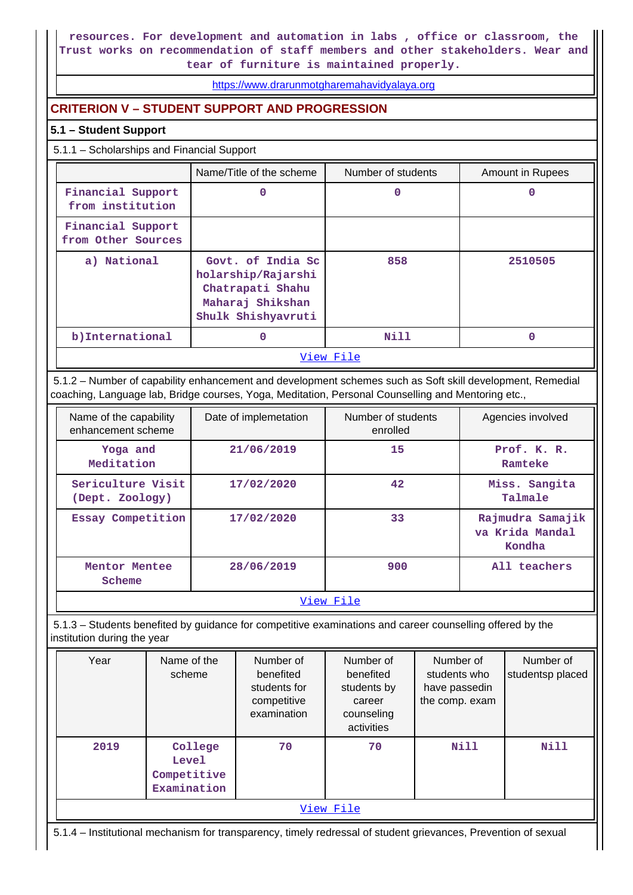**resources. For development and automation in labs , office or classroom, the Trust works on recommendation of staff members and other stakeholders. Wear and tear of furniture is maintained properly.**

<https://www.drarunmotgharemahavidyalaya.org>

# **CRITERION V – STUDENT SUPPORT AND PROGRESSION**

# **5.1 – Student Support**

5.1.1 – Scholarships and Financial Support

|                                         | Name/Title of the scheme                                                                              | Number of students | Amount in Rupees |
|-----------------------------------------|-------------------------------------------------------------------------------------------------------|--------------------|------------------|
| Financial Support<br>from institution   | 0                                                                                                     | 0                  |                  |
| Financial Support<br>from Other Sources |                                                                                                       |                    |                  |
| a) National                             | Govt. of India Sc<br>holarship/Rajarshi<br>Chatrapati Shahu<br>Maharaj Shikshan<br>Shulk Shishyavruti | 858                | 2510505          |
| b) International                        | 0                                                                                                     | <b>Nill</b>        |                  |
|                                         |                                                                                                       | View File          |                  |

 5.1.2 – Number of capability enhancement and development schemes such as Soft skill development, Remedial coaching, Language lab, Bridge courses, Yoga, Meditation, Personal Counselling and Mentoring etc.,

| Name of the capability<br>enhancement scheme | Date of implemetation | Number of students<br>enrolled | Agencies involved                             |
|----------------------------------------------|-----------------------|--------------------------------|-----------------------------------------------|
| Yoga and<br>Meditation                       | 21/06/2019            | 15                             | Prof. K. R.<br>Ramteke                        |
| Sericulture Visit<br>(Dept. Zoology)         | 17/02/2020            | 42                             | Miss. Sangita<br>Talmale                      |
| Essay Competition                            | 17/02/2020            | 33                             | Rajmudra Samajik<br>va Krida Mandal<br>Kondha |
| Mentor Mentee<br>Scheme                      | 28/06/2019            | 900                            | All teachers                                  |
|                                              |                       | View File                      |                                               |

 5.1.3 – Students benefited by guidance for competitive examinations and career counselling offered by the institution during the year

| Year      | Name of the<br>scheme                                 | Number of<br>benefited<br>students for<br>competitive<br>examination | Number of<br>benefited<br>students by<br>career<br>counseling<br>activities | Number of<br>students who<br>have passedin<br>the comp. exam | Number of<br>studentsp placed |  |  |  |
|-----------|-------------------------------------------------------|----------------------------------------------------------------------|-----------------------------------------------------------------------------|--------------------------------------------------------------|-------------------------------|--|--|--|
| 2019      | College<br><b>Level</b><br>Competitive<br>Examination | 70                                                                   | 70                                                                          | Nill                                                         | Nill                          |  |  |  |
| View File |                                                       |                                                                      |                                                                             |                                                              |                               |  |  |  |

5.1.4 – Institutional mechanism for transparency, timely redressal of student grievances, Prevention of sexual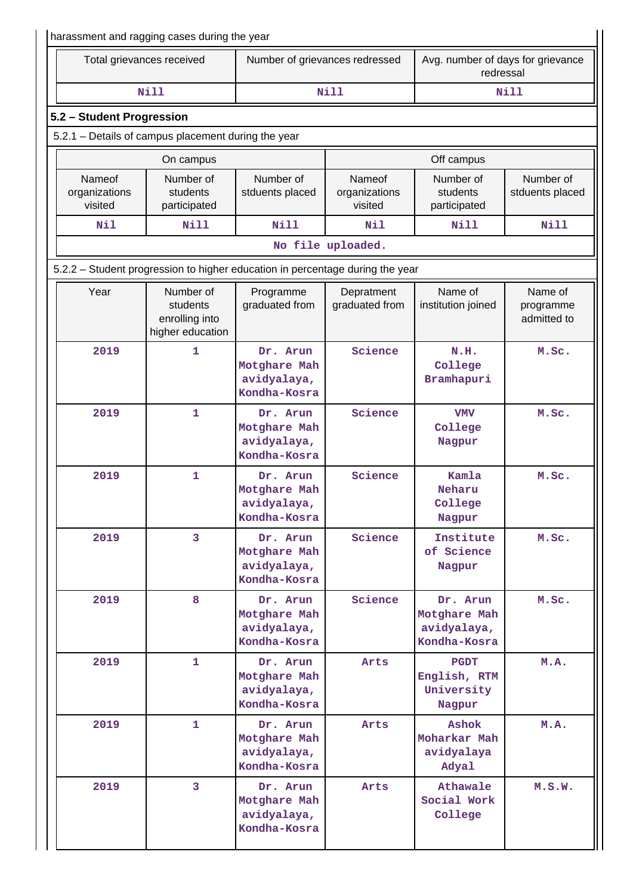|                                    | harassment and ragging cases during the year                                  |                                                         |                                    |                                                         |                                     |
|------------------------------------|-------------------------------------------------------------------------------|---------------------------------------------------------|------------------------------------|---------------------------------------------------------|-------------------------------------|
|                                    | Total grievances received                                                     | Number of grievances redressed                          |                                    | Avg. number of days for grievance<br>redressal          |                                     |
|                                    | <b>Nill</b>                                                                   |                                                         | <b>Nill</b>                        |                                                         | <b>Nill</b>                         |
| 5.2 - Student Progression          |                                                                               |                                                         |                                    |                                                         |                                     |
|                                    | 5.2.1 - Details of campus placement during the year                           |                                                         |                                    |                                                         |                                     |
|                                    | On campus                                                                     |                                                         |                                    | Off campus                                              |                                     |
| Nameof<br>organizations<br>visited | Number of<br>students<br>participated                                         | Number of<br>stduents placed                            | Nameof<br>organizations<br>visited | Number of<br>students<br>participated                   | Number of<br>stduents placed        |
| Nil                                | <b>Nill</b>                                                                   | <b>Nill</b>                                             | Nil                                | Nill                                                    | <b>Nill</b>                         |
|                                    |                                                                               |                                                         | No file uploaded.                  |                                                         |                                     |
|                                    | 5.2.2 - Student progression to higher education in percentage during the year |                                                         |                                    |                                                         |                                     |
| Year                               | Number of<br>students<br>enrolling into<br>higher education                   | Programme<br>graduated from                             | Depratment<br>graduated from       | Name of<br>institution joined                           | Name of<br>programme<br>admitted to |
| 2019                               | 1                                                                             | Dr. Arun<br>Motghare Mah<br>avidyalaya,<br>Kondha-Kosra | Science                            | N.H.<br>College<br>Bramhapuri                           | M.Sc.                               |
| 2019                               | 1                                                                             | Dr. Arun<br>Motghare Mah<br>avidyalaya,<br>Kondha-Kosra | Science                            | <b>VMV</b><br>College<br>Nagpur                         | M.Sc.                               |
| 2019                               | 1                                                                             | Dr. Arun<br>Motghare Mah<br>avidyalaya,<br>Kondha-Kosra | Science                            | Kamla<br>Neharu<br>College<br>Nagpur                    | M.Sc.                               |
| 2019                               | 3                                                                             | Dr. Arun<br>Motghare Mah<br>avidyalaya,<br>Kondha-Kosra | Science                            | Institute<br>of Science<br>Nagpur                       | M.Sc.                               |
| 2019                               | 8                                                                             | Dr. Arun<br>Motghare Mah<br>avidyalaya,<br>Kondha-Kosra | Science                            | Dr. Arun<br>Motghare Mah<br>avidyalaya,<br>Kondha-Kosra | M.Sc.                               |
| 2019                               | $\mathbf{1}$                                                                  | Dr. Arun<br>Motghare Mah<br>avidyalaya,<br>Kondha-Kosra | Arts                               | <b>PGDT</b><br>English, RTM<br>University<br>Nagpur     | M.A.                                |
| 2019                               | 1                                                                             | Dr. Arun<br>Motghare Mah<br>avidyalaya,<br>Kondha-Kosra | Arts                               | <b>Ashok</b><br>Moharkar Mah<br>avidyalaya<br>Adyal     | M.A.                                |
| 2019                               | 3                                                                             | Dr. Arun<br>Motghare Mah<br>avidyalaya,<br>Kondha-Kosra | Arts                               | Athawale<br>Social Work<br>College                      | M.S.W.                              |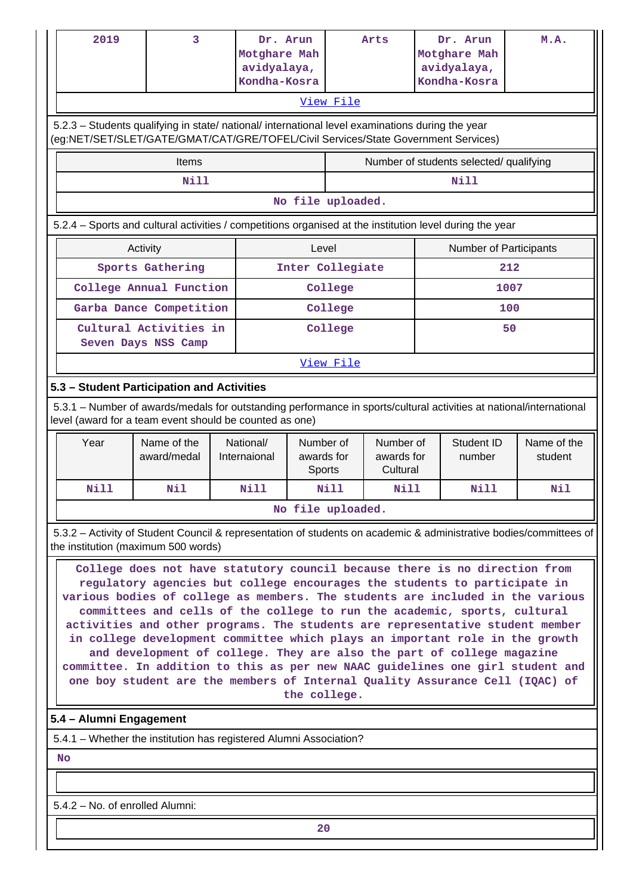|           | 2019                                                                                                                                                                                                                                                                                                                                                                                                                                                                                                                                                                                                                                                                                                                                                                                                                                                                                                             | 3                                                                                                                                                                                      |  | Dr. Arun<br>Motghare Mah<br>avidyalaya,<br>Kondha-Kosra |                                   |                   | Arts                                |  | Dr. Arun<br>Motghare Mah<br>avidyalaya,<br>Kondha-Kosra | M.A.                                                                                                                |  |
|-----------|------------------------------------------------------------------------------------------------------------------------------------------------------------------------------------------------------------------------------------------------------------------------------------------------------------------------------------------------------------------------------------------------------------------------------------------------------------------------------------------------------------------------------------------------------------------------------------------------------------------------------------------------------------------------------------------------------------------------------------------------------------------------------------------------------------------------------------------------------------------------------------------------------------------|----------------------------------------------------------------------------------------------------------------------------------------------------------------------------------------|--|---------------------------------------------------------|-----------------------------------|-------------------|-------------------------------------|--|---------------------------------------------------------|---------------------------------------------------------------------------------------------------------------------|--|
|           |                                                                                                                                                                                                                                                                                                                                                                                                                                                                                                                                                                                                                                                                                                                                                                                                                                                                                                                  |                                                                                                                                                                                        |  |                                                         |                                   | View File         |                                     |  |                                                         |                                                                                                                     |  |
|           |                                                                                                                                                                                                                                                                                                                                                                                                                                                                                                                                                                                                                                                                                                                                                                                                                                                                                                                  |                                                                                                                                                                                        |  |                                                         |                                   |                   |                                     |  |                                                         |                                                                                                                     |  |
|           |                                                                                                                                                                                                                                                                                                                                                                                                                                                                                                                                                                                                                                                                                                                                                                                                                                                                                                                  | 5.2.3 - Students qualifying in state/ national/ international level examinations during the year<br>(eg:NET/SET/SLET/GATE/GMAT/CAT/GRE/TOFEL/Civil Services/State Government Services) |  |                                                         |                                   |                   |                                     |  |                                                         |                                                                                                                     |  |
|           |                                                                                                                                                                                                                                                                                                                                                                                                                                                                                                                                                                                                                                                                                                                                                                                                                                                                                                                  | Items                                                                                                                                                                                  |  |                                                         |                                   |                   |                                     |  | Number of students selected/ qualifying                 |                                                                                                                     |  |
|           |                                                                                                                                                                                                                                                                                                                                                                                                                                                                                                                                                                                                                                                                                                                                                                                                                                                                                                                  | Nill                                                                                                                                                                                   |  |                                                         |                                   |                   |                                     |  | Nill                                                    |                                                                                                                     |  |
|           |                                                                                                                                                                                                                                                                                                                                                                                                                                                                                                                                                                                                                                                                                                                                                                                                                                                                                                                  |                                                                                                                                                                                        |  |                                                         |                                   | No file uploaded. |                                     |  |                                                         |                                                                                                                     |  |
|           |                                                                                                                                                                                                                                                                                                                                                                                                                                                                                                                                                                                                                                                                                                                                                                                                                                                                                                                  | 5.2.4 - Sports and cultural activities / competitions organised at the institution level during the year                                                                               |  |                                                         |                                   |                   |                                     |  |                                                         |                                                                                                                     |  |
|           |                                                                                                                                                                                                                                                                                                                                                                                                                                                                                                                                                                                                                                                                                                                                                                                                                                                                                                                  | Activity                                                                                                                                                                               |  |                                                         | Level                             |                   |                                     |  | <b>Number of Participants</b>                           |                                                                                                                     |  |
|           |                                                                                                                                                                                                                                                                                                                                                                                                                                                                                                                                                                                                                                                                                                                                                                                                                                                                                                                  | Sports Gathering                                                                                                                                                                       |  |                                                         |                                   | Inter Collegiate  |                                     |  |                                                         | 212                                                                                                                 |  |
|           |                                                                                                                                                                                                                                                                                                                                                                                                                                                                                                                                                                                                                                                                                                                                                                                                                                                                                                                  | College Annual Function                                                                                                                                                                |  |                                                         |                                   | College           |                                     |  |                                                         | 1007                                                                                                                |  |
|           |                                                                                                                                                                                                                                                                                                                                                                                                                                                                                                                                                                                                                                                                                                                                                                                                                                                                                                                  | Garba Dance Competition                                                                                                                                                                |  |                                                         |                                   | College           |                                     |  |                                                         | 100                                                                                                                 |  |
|           |                                                                                                                                                                                                                                                                                                                                                                                                                                                                                                                                                                                                                                                                                                                                                                                                                                                                                                                  | Cultural Activities in<br>Seven Days NSS Camp                                                                                                                                          |  |                                                         |                                   | College           |                                     |  | 50                                                      |                                                                                                                     |  |
|           |                                                                                                                                                                                                                                                                                                                                                                                                                                                                                                                                                                                                                                                                                                                                                                                                                                                                                                                  |                                                                                                                                                                                        |  |                                                         | View File                         |                   |                                     |  |                                                         |                                                                                                                     |  |
|           |                                                                                                                                                                                                                                                                                                                                                                                                                                                                                                                                                                                                                                                                                                                                                                                                                                                                                                                  | 5.3 - Student Participation and Activities                                                                                                                                             |  |                                                         |                                   |                   |                                     |  |                                                         |                                                                                                                     |  |
|           |                                                                                                                                                                                                                                                                                                                                                                                                                                                                                                                                                                                                                                                                                                                                                                                                                                                                                                                  | level (award for a team event should be counted as one)                                                                                                                                |  |                                                         |                                   |                   |                                     |  |                                                         | 5.3.1 – Number of awards/medals for outstanding performance in sports/cultural activities at national/international |  |
|           | Year                                                                                                                                                                                                                                                                                                                                                                                                                                                                                                                                                                                                                                                                                                                                                                                                                                                                                                             | Name of the<br>award/medal                                                                                                                                                             |  | National/<br>Internaional                               | Number of<br>awards for<br>Sports |                   | Number of<br>awards for<br>Cultural |  | <b>Student ID</b><br>number                             | Name of the<br>student                                                                                              |  |
|           | Nill                                                                                                                                                                                                                                                                                                                                                                                                                                                                                                                                                                                                                                                                                                                                                                                                                                                                                                             | Nil                                                                                                                                                                                    |  | N11                                                     |                                   | Nill              | Nill                                |  | Nill                                                    | Nil                                                                                                                 |  |
|           |                                                                                                                                                                                                                                                                                                                                                                                                                                                                                                                                                                                                                                                                                                                                                                                                                                                                                                                  |                                                                                                                                                                                        |  |                                                         |                                   | No file uploaded. |                                     |  |                                                         |                                                                                                                     |  |
|           |                                                                                                                                                                                                                                                                                                                                                                                                                                                                                                                                                                                                                                                                                                                                                                                                                                                                                                                  |                                                                                                                                                                                        |  |                                                         |                                   |                   |                                     |  |                                                         |                                                                                                                     |  |
|           | 5.3.2 - Activity of Student Council & representation of students on academic & administrative bodies/committees of<br>the institution (maximum 500 words)<br>College does not have statutory council because there is no direction from<br>regulatory agencies but college encourages the students to participate in<br>various bodies of college as members. The students are included in the various<br>committees and cells of the college to run the academic, sports, cultural<br>activities and other programs. The students are representative student member<br>in college development committee which plays an important role in the growth<br>and development of college. They are also the part of college magazine<br>committee. In addition to this as per new NAAC guidelines one girl student and<br>one boy student are the members of Internal Quality Assurance Cell (IQAC) of<br>the college. |                                                                                                                                                                                        |  |                                                         |                                   |                   |                                     |  |                                                         |                                                                                                                     |  |
|           | 5.4 - Alumni Engagement                                                                                                                                                                                                                                                                                                                                                                                                                                                                                                                                                                                                                                                                                                                                                                                                                                                                                          |                                                                                                                                                                                        |  |                                                         |                                   |                   |                                     |  |                                                         |                                                                                                                     |  |
|           |                                                                                                                                                                                                                                                                                                                                                                                                                                                                                                                                                                                                                                                                                                                                                                                                                                                                                                                  | 5.4.1 – Whether the institution has registered Alumni Association?                                                                                                                     |  |                                                         |                                   |                   |                                     |  |                                                         |                                                                                                                     |  |
| <b>No</b> |                                                                                                                                                                                                                                                                                                                                                                                                                                                                                                                                                                                                                                                                                                                                                                                                                                                                                                                  |                                                                                                                                                                                        |  |                                                         |                                   |                   |                                     |  |                                                         |                                                                                                                     |  |
|           |                                                                                                                                                                                                                                                                                                                                                                                                                                                                                                                                                                                                                                                                                                                                                                                                                                                                                                                  |                                                                                                                                                                                        |  |                                                         |                                   |                   |                                     |  |                                                         |                                                                                                                     |  |

5.4.2 – No. of enrolled Alumni: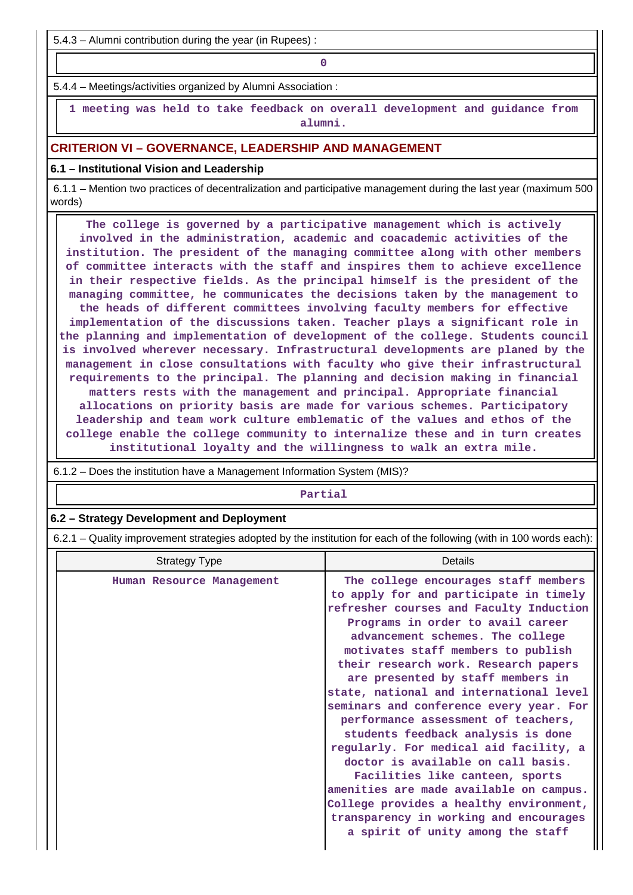5.4.3 – Alumni contribution during the year (in Rupees) :

**0**

5.4.4 – Meetings/activities organized by Alumni Association :

 **1 meeting was held to take feedback on overall development and guidance from alumni.**

# **CRITERION VI – GOVERNANCE, LEADERSHIP AND MANAGEMENT**

#### **6.1 – Institutional Vision and Leadership**

 6.1.1 – Mention two practices of decentralization and participative management during the last year (maximum 500 words)

 **The college is governed by a participative management which is actively involved in the administration, academic and coacademic activities of the institution. The president of the managing committee along with other members of committee interacts with the staff and inspires them to achieve excellence in their respective fields. As the principal himself is the president of the managing committee, he communicates the decisions taken by the management to the heads of different committees involving faculty members for effective implementation of the discussions taken. Teacher plays a significant role in the planning and implementation of development of the college. Students council is involved wherever necessary. Infrastructural developments are planed by the management in close consultations with faculty who give their infrastructural requirements to the principal. The planning and decision making in financial matters rests with the management and principal. Appropriate financial allocations on priority basis are made for various schemes. Participatory leadership and team work culture emblematic of the values and ethos of the college enable the college community to internalize these and in turn creates institutional loyalty and the willingness to walk an extra mile.**

 **Partial 6.2 – Strategy Development and Deployment** 6.2.1 – Quality improvement strategies adopted by the institution for each of the following (with in 100 words each): Strategy Type **Details Human Resource Management The college encourages staff members to apply for and participate in timely refresher courses and Faculty Induction Programs in order to avail career advancement schemes. The college motivates staff members to publish their research work. Research papers are presented by staff members in state, national and international level seminars and conference every year. For performance assessment of teachers,**

6.1.2 – Does the institution have a Management Information System (MIS)?

**students feedback analysis is done regularly. For medical aid facility, a doctor is available on call basis. Facilities like canteen, sports amenities are made available on campus. College provides a healthy environment, transparency in working and encourages a spirit of unity among the staff**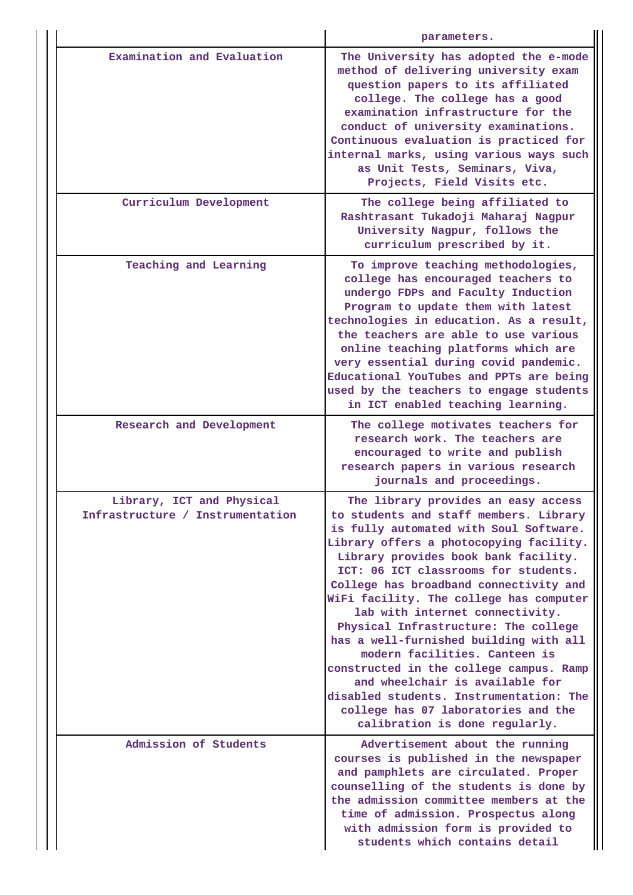|                                                               | parameters.                                                                                                                                                                                                                                                                                                                                                                                                                                                                                                                                                                                                                                                                                     |
|---------------------------------------------------------------|-------------------------------------------------------------------------------------------------------------------------------------------------------------------------------------------------------------------------------------------------------------------------------------------------------------------------------------------------------------------------------------------------------------------------------------------------------------------------------------------------------------------------------------------------------------------------------------------------------------------------------------------------------------------------------------------------|
| Examination and Evaluation                                    | The University has adopted the e-mode<br>method of delivering university exam<br>question papers to its affiliated<br>college. The college has a good<br>examination infrastructure for the<br>conduct of university examinations.<br>Continuous evaluation is practiced for<br>internal marks, using various ways such<br>as Unit Tests, Seminars, Viva,<br>Projects, Field Visits etc.                                                                                                                                                                                                                                                                                                        |
| Curriculum Development                                        | The college being affiliated to<br>Rashtrasant Tukadoji Maharaj Nagpur<br>University Nagpur, follows the<br>curriculum prescribed by it.                                                                                                                                                                                                                                                                                                                                                                                                                                                                                                                                                        |
| Teaching and Learning                                         | To improve teaching methodologies,<br>college has encouraged teachers to<br>undergo FDPs and Faculty Induction<br>Program to update them with latest<br>technologies in education. As a result,<br>the teachers are able to use various<br>online teaching platforms which are<br>very essential during covid pandemic.<br>Educational YouTubes and PPTs are being<br>used by the teachers to engage students<br>in ICT enabled teaching learning.                                                                                                                                                                                                                                              |
| Research and Development                                      | The college motivates teachers for<br>research work. The teachers are<br>encouraged to write and publish<br>research papers in various research<br>journals and proceedings.                                                                                                                                                                                                                                                                                                                                                                                                                                                                                                                    |
| Library, ICT and Physical<br>Infrastructure / Instrumentation | The library provides an easy access<br>to students and staff members. Library<br>is fully automated with Soul Software.<br>Library offers a photocopying facility.<br>Library provides book bank facility.<br>ICT: 06 ICT classrooms for students.<br>College has broadband connectivity and<br>WiFi facility. The college has computer<br>lab with internet connectivity.<br>Physical Infrastructure: The college<br>has a well-furnished building with all<br>modern facilities. Canteen is<br>constructed in the college campus. Ramp<br>and wheelchair is available for<br>disabled students. Instrumentation: The<br>college has 07 laboratories and the<br>calibration is done regularly. |
| Admission of Students                                         | Advertisement about the running<br>courses is published in the newspaper<br>and pamphlets are circulated. Proper<br>counselling of the students is done by<br>the admission committee members at the<br>time of admission. Prospectus along<br>with admission form is provided to<br>students which contains detail                                                                                                                                                                                                                                                                                                                                                                             |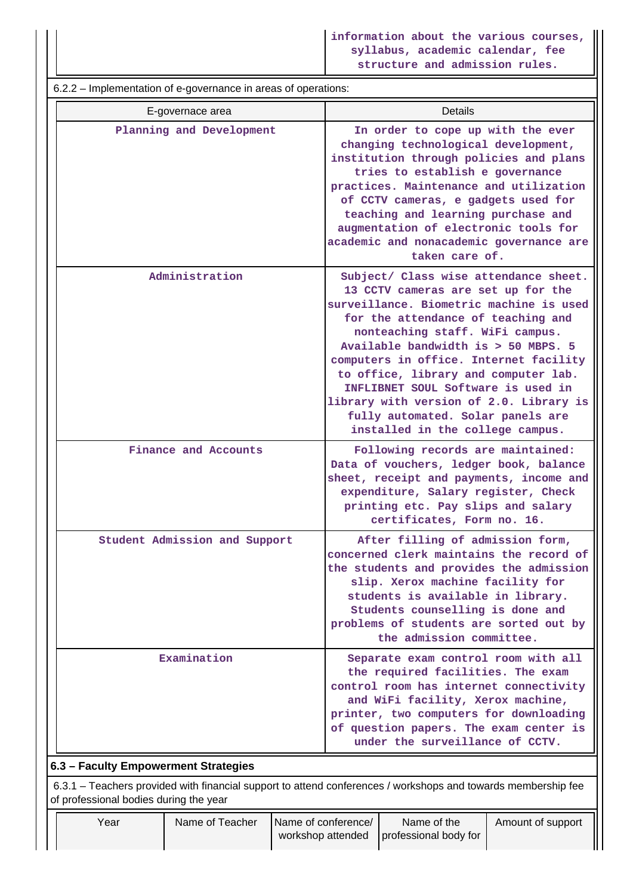6.2.2 – Implementation of e-governance in areas of operations: E-governace area **Details** Planning and Development **In order to cope up with the ever changing technological development, institution through policies and plans tries to establish e governance practices. Maintenance and utilization of CCTV cameras, e gadgets used for teaching and learning purchase and augmentation of electronic tools for academic and nonacademic governance are taken care of. Administration Subject/ Class wise attendance sheet. 13 CCTV cameras are set up for the surveillance. Biometric machine is used for the attendance of teaching and nonteaching staff. WiFi campus. Available bandwidth is > 50 MBPS. 5 computers in office. Internet facility to office, library and computer lab. INFLIBNET SOUL Software is used in library with version of 2.0. Library is fully automated. Solar panels are installed in the college campus.** Finance and Accounts **Following records are maintained: Data of vouchers, ledger book, balance sheet, receipt and payments, income and expenditure, Salary register, Check printing etc. Pay slips and salary certificates, Form no. 16. Student Admission and Support After filling of admission form, concerned clerk maintains the record of the students and provides the admission slip. Xerox machine facility for students is available in library. Students counselling is done and problems of students are sorted out by the admission committee. Examination** Separate exam control room with all **the required facilities. The exam control room has internet connectivity and WiFi facility, Xerox machine, printer, two computers for downloading of question papers. The exam center is under the surveillance of CCTV. 6.3 – Faculty Empowerment Strategies** 6.3.1 – Teachers provided with financial support to attend conferences / workshops and towards membership fee of professional bodies during the year

Year **Name of Teacher** Name of conference workshop attended Name of the professional body for Amount of support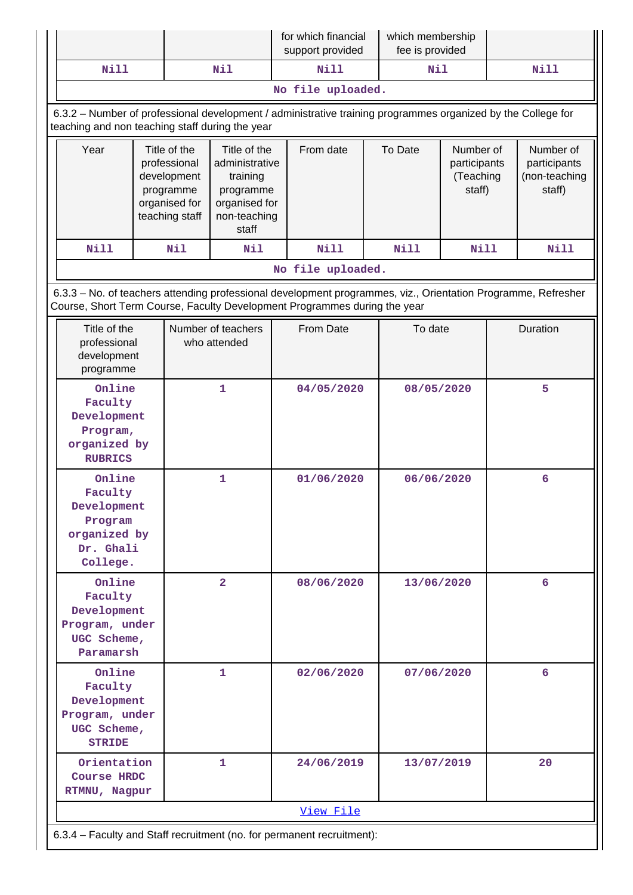|                                                                                                              |                                                                                             |  |                                                                                                   | for which financial<br>support provided                                                                                                                                                    |            | which membership<br>fee is provided                         |              |   |                                                      |
|--------------------------------------------------------------------------------------------------------------|---------------------------------------------------------------------------------------------|--|---------------------------------------------------------------------------------------------------|--------------------------------------------------------------------------------------------------------------------------------------------------------------------------------------------|------------|-------------------------------------------------------------|--------------|---|------------------------------------------------------|
| <b>Nill</b>                                                                                                  |                                                                                             |  | Nil                                                                                               | Nill                                                                                                                                                                                       |            | Nil                                                         |              |   | <b>Nill</b>                                          |
|                                                                                                              |                                                                                             |  |                                                                                                   | No file uploaded.                                                                                                                                                                          |            |                                                             |              |   |                                                      |
| teaching and non teaching staff during the year                                                              |                                                                                             |  |                                                                                                   | 6.3.2 - Number of professional development / administrative training programmes organized by the College for                                                                               |            |                                                             |              |   |                                                      |
| Year                                                                                                         | Title of the<br>professional<br>development<br>programme<br>organised for<br>teaching staff |  | Title of the<br>administrative<br>training<br>programme<br>organised for<br>non-teaching<br>staff | From date                                                                                                                                                                                  |            | To Date<br>Number of<br>participants<br>(Teaching<br>staff) |              |   | Number of<br>participants<br>(non-teaching<br>staff) |
| <b>Nill</b><br>Nil<br>Nil                                                                                    |                                                                                             |  |                                                                                                   | <b>Nill</b>                                                                                                                                                                                |            | <b>Nill</b>                                                 | Nill<br>Nill |   |                                                      |
|                                                                                                              |                                                                                             |  |                                                                                                   | No file uploaded.                                                                                                                                                                          |            |                                                             |              |   |                                                      |
|                                                                                                              |                                                                                             |  |                                                                                                   | 6.3.3 - No. of teachers attending professional development programmes, viz., Orientation Programme, Refresher<br>Course, Short Term Course, Faculty Development Programmes during the year |            |                                                             |              |   |                                                      |
| Title of the<br>professional<br>development<br>programme                                                     |                                                                                             |  | Number of teachers<br>who attended                                                                | From Date                                                                                                                                                                                  |            | To date                                                     |              |   | Duration                                             |
| Online<br>1<br>Faculty<br>Development<br>Program,<br>organized by<br><b>RUBRICS</b>                          |                                                                                             |  | 04/05/2020<br>08/05/2020                                                                          |                                                                                                                                                                                            | 5          |                                                             |              |   |                                                      |
| Online<br>Faculty<br>Development<br>Program<br>organized by<br>Dr. Ghali                                     |                                                                                             |  | 1                                                                                                 | 01/06/2020                                                                                                                                                                                 |            | 06/06/2020                                                  |              |   | 6                                                    |
| College.<br>Online<br>$\overline{2}$<br>Faculty<br>Development<br>Program, under<br>UGC Scheme,<br>Paramarsh |                                                                                             |  | 08/06/2020                                                                                        |                                                                                                                                                                                            | 13/06/2020 |                                                             |              | 6 |                                                      |
| Online<br>Faculty<br>Development<br>Program, under<br>UGC Scheme,<br><b>STRIDE</b>                           |                                                                                             |  | 1                                                                                                 | 02/06/2020                                                                                                                                                                                 |            | 07/06/2020                                                  |              |   | 6                                                    |
| Orientation<br><b>Course HRDC</b><br>RTMNU, Nagpur                                                           |                                                                                             |  | 1                                                                                                 | 24/06/2019                                                                                                                                                                                 |            | 13/07/2019<br>20                                            |              |   |                                                      |
|                                                                                                              |                                                                                             |  |                                                                                                   | View File                                                                                                                                                                                  |            |                                                             |              |   |                                                      |
|                                                                                                              |                                                                                             |  |                                                                                                   | 6.3.4 - Faculty and Staff recruitment (no. for permanent recruitment):                                                                                                                     |            |                                                             |              |   |                                                      |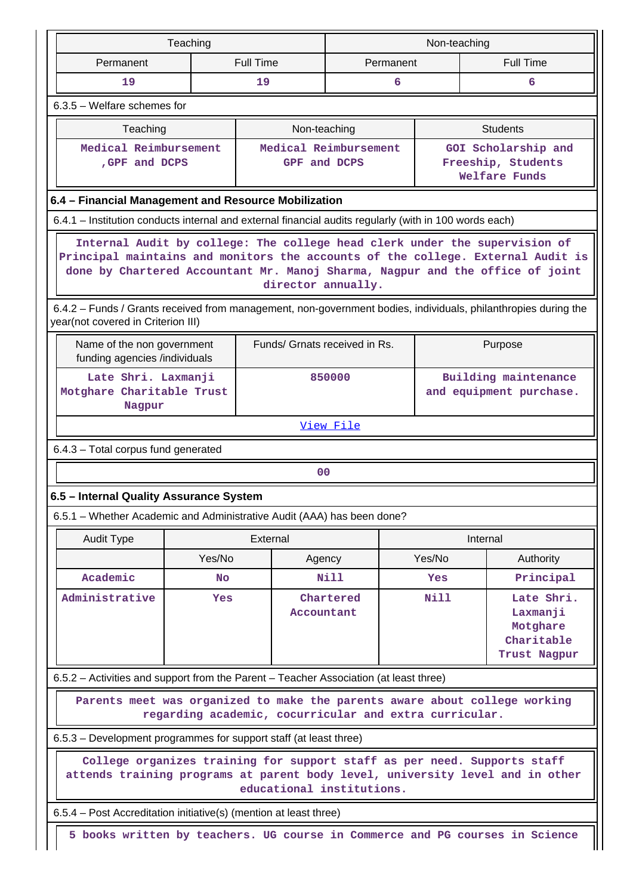|                                                                                                                         |                                                                                                                                                                                                                                                                                                                                                                                        | Teaching  |                  |                                                        | Non-teaching |                                                                              |  |  |  |
|-------------------------------------------------------------------------------------------------------------------------|----------------------------------------------------------------------------------------------------------------------------------------------------------------------------------------------------------------------------------------------------------------------------------------------------------------------------------------------------------------------------------------|-----------|------------------|--------------------------------------------------------|--------------|------------------------------------------------------------------------------|--|--|--|
|                                                                                                                         | Permanent                                                                                                                                                                                                                                                                                                                                                                              |           | <b>Full Time</b> | Permanent                                              |              | <b>Full Time</b>                                                             |  |  |  |
|                                                                                                                         | 19                                                                                                                                                                                                                                                                                                                                                                                     |           | 19               | 6                                                      |              | 6                                                                            |  |  |  |
|                                                                                                                         | 6.3.5 - Welfare schemes for                                                                                                                                                                                                                                                                                                                                                            |           |                  |                                                        |              |                                                                              |  |  |  |
|                                                                                                                         | Teaching                                                                                                                                                                                                                                                                                                                                                                               |           |                  | Non-teaching                                           |              | <b>Students</b>                                                              |  |  |  |
|                                                                                                                         | Medical Reimbursement<br>, GPF and DCPS                                                                                                                                                                                                                                                                                                                                                |           |                  | Medical Reimbursement<br>GPF and DCPS                  |              | GOI Scholarship and<br>Freeship, Students<br>Welfare Funds                   |  |  |  |
|                                                                                                                         | 6.4 - Financial Management and Resource Mobilization                                                                                                                                                                                                                                                                                                                                   |           |                  |                                                        |              |                                                                              |  |  |  |
|                                                                                                                         | 6.4.1 – Institution conducts internal and external financial audits regularly (with in 100 words each)                                                                                                                                                                                                                                                                                 |           |                  |                                                        |              |                                                                              |  |  |  |
|                                                                                                                         | Internal Audit by college: The college head clerk under the supervision of<br>Principal maintains and monitors the accounts of the college. External Audit is<br>done by Chartered Accountant Mr. Manoj Sharma, Nagpur and the office of joint<br>director annually.<br>6.4.2 - Funds / Grants received from management, non-government bodies, individuals, philanthropies during the |           |                  |                                                        |              |                                                                              |  |  |  |
|                                                                                                                         | year(not covered in Criterion III)                                                                                                                                                                                                                                                                                                                                                     |           |                  |                                                        |              |                                                                              |  |  |  |
|                                                                                                                         | Name of the non government<br>funding agencies /individuals                                                                                                                                                                                                                                                                                                                            |           |                  | Funds/ Grnats received in Rs.                          |              | Purpose                                                                      |  |  |  |
| Building maintenance<br>Late Shri. Laxmanji<br>850000<br>Motghare Charitable Trust<br>and equipment purchase.<br>Nagpur |                                                                                                                                                                                                                                                                                                                                                                                        |           |                  |                                                        |              |                                                                              |  |  |  |
|                                                                                                                         |                                                                                                                                                                                                                                                                                                                                                                                        |           |                  | View File                                              |              |                                                                              |  |  |  |
|                                                                                                                         | 6.4.3 - Total corpus fund generated                                                                                                                                                                                                                                                                                                                                                    |           |                  |                                                        |              |                                                                              |  |  |  |
|                                                                                                                         |                                                                                                                                                                                                                                                                                                                                                                                        |           |                  | 00                                                     |              |                                                                              |  |  |  |
|                                                                                                                         | 6.5 - Internal Quality Assurance System                                                                                                                                                                                                                                                                                                                                                |           |                  |                                                        |              |                                                                              |  |  |  |
|                                                                                                                         | 6.5.1 - Whether Academic and Administrative Audit (AAA) has been done?                                                                                                                                                                                                                                                                                                                 |           |                  |                                                        |              |                                                                              |  |  |  |
|                                                                                                                         | <b>Audit Type</b>                                                                                                                                                                                                                                                                                                                                                                      |           | External         |                                                        |              | Internal                                                                     |  |  |  |
|                                                                                                                         |                                                                                                                                                                                                                                                                                                                                                                                        | Yes/No    |                  | Agency                                                 | Yes/No       | Authority                                                                    |  |  |  |
|                                                                                                                         | Academic                                                                                                                                                                                                                                                                                                                                                                               | <b>No</b> |                  | Nill                                                   | Yes          | Principal                                                                    |  |  |  |
|                                                                                                                         | Administrative                                                                                                                                                                                                                                                                                                                                                                         | Yes       |                  | Chartered<br>Accountant                                | <b>Nill</b>  | Late Shri.<br>Laxmanji<br>Motghare<br>Charitable<br>Trust Nagpur             |  |  |  |
|                                                                                                                         | 6.5.2 - Activities and support from the Parent - Teacher Association (at least three)                                                                                                                                                                                                                                                                                                  |           |                  |                                                        |              |                                                                              |  |  |  |
|                                                                                                                         |                                                                                                                                                                                                                                                                                                                                                                                        |           |                  | regarding academic, cocurricular and extra curricular. |              | Parents meet was organized to make the parents aware about college working   |  |  |  |
|                                                                                                                         |                                                                                                                                                                                                                                                                                                                                                                                        |           |                  |                                                        |              |                                                                              |  |  |  |
|                                                                                                                         | 6.5.3 – Development programmes for support staff (at least three)<br>College organizes training for support staff as per need. Supports staff<br>attends training programs at parent body level, university level and in other<br>educational institutions.                                                                                                                            |           |                  |                                                        |              |                                                                              |  |  |  |
|                                                                                                                         | 6.5.4 – Post Accreditation initiative(s) (mention at least three)                                                                                                                                                                                                                                                                                                                      |           |                  |                                                        |              |                                                                              |  |  |  |
|                                                                                                                         |                                                                                                                                                                                                                                                                                                                                                                                        |           |                  |                                                        |              | 5 books written by teachers. UG course in Commerce and PG courses in Science |  |  |  |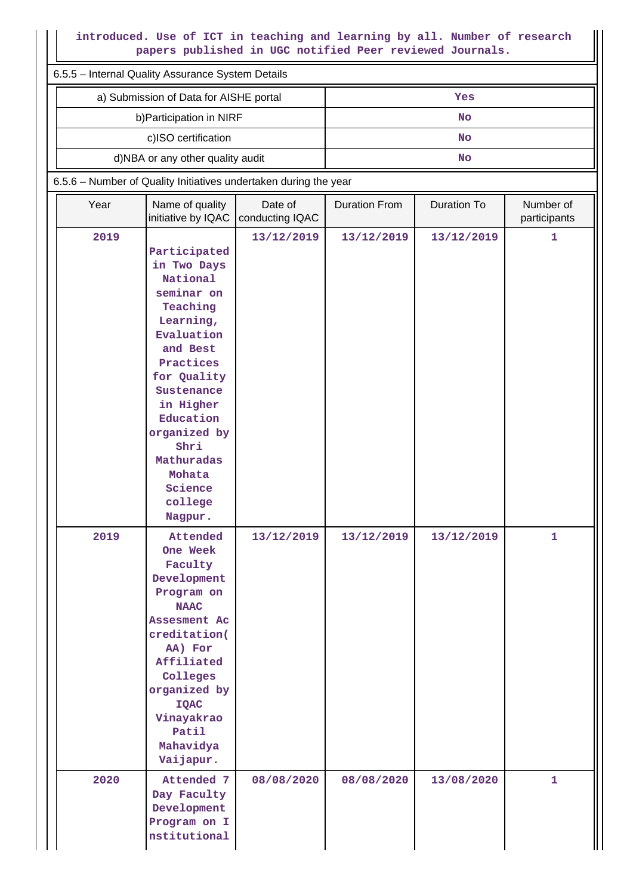# **introduced. Use of ICT in teaching and learning by all. Number of research papers published in UGC notified Peer reviewed Journals.**

|      | introduced. Use of ICT in teaching and learning by all. Number of research<br>papers published in UGC notified Peer reviewed Journals.                                                                                                                        |                            |                      |                    |                           |  |  |  |
|------|---------------------------------------------------------------------------------------------------------------------------------------------------------------------------------------------------------------------------------------------------------------|----------------------------|----------------------|--------------------|---------------------------|--|--|--|
|      | 6.5.5 - Internal Quality Assurance System Details                                                                                                                                                                                                             |                            |                      |                    |                           |  |  |  |
|      | a) Submission of Data for AISHE portal                                                                                                                                                                                                                        |                            |                      | Yes                |                           |  |  |  |
|      | b) Participation in NIRF                                                                                                                                                                                                                                      |                            |                      | <b>No</b>          |                           |  |  |  |
|      | c)ISO certification                                                                                                                                                                                                                                           |                            |                      | <b>No</b>          |                           |  |  |  |
|      | d)NBA or any other quality audit                                                                                                                                                                                                                              |                            |                      | <b>No</b>          |                           |  |  |  |
|      | 6.5.6 - Number of Quality Initiatives undertaken during the year                                                                                                                                                                                              |                            |                      |                    |                           |  |  |  |
| Year | Name of quality<br>initiative by IQAC                                                                                                                                                                                                                         | Date of<br>conducting IQAC | <b>Duration From</b> | <b>Duration To</b> | Number of<br>participants |  |  |  |
| 2019 | Participated<br>in Two Days<br>National<br>seminar on<br>Teaching<br>Learning,<br>Evaluation<br>and Best<br>Practices<br>for Quality<br>Sustenance<br>in Higher<br>Education<br>organized by<br>Shri<br>Mathuradas<br>Mohata<br>Science<br>college<br>Nagpur. | 13/12/2019                 | 13/12/2019           | 13/12/2019         | 1                         |  |  |  |
| 2019 | Attended<br>One Week<br>Faculty<br>Development<br>Program on<br><b>NAAC</b><br>Assesment Ac<br>creditation(<br>AA) For<br>Affiliated<br>Colleges<br>organized by<br><b>IQAC</b><br>Vinayakrao<br>Patil<br>Mahavidya<br>Vaijapur.                              | 13/12/2019                 | 13/12/2019           | 13/12/2019         | 1                         |  |  |  |
| 2020 | Attended 7<br>Day Faculty<br>Development<br>Program on I<br>nstitutional                                                                                                                                                                                      | 08/08/2020                 | 08/08/2020           | 13/08/2020         | $\mathbf{1}$              |  |  |  |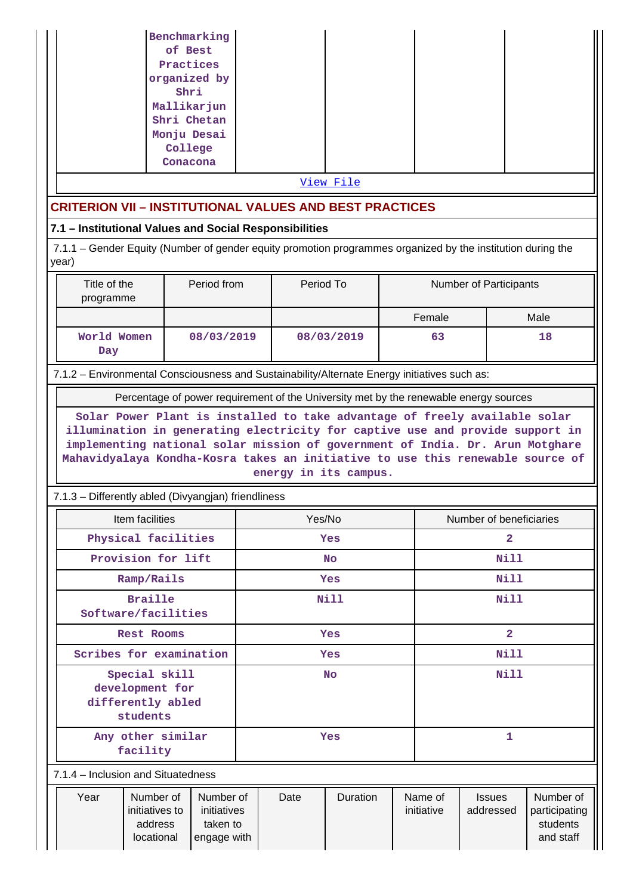| Benchmarking |      |       |  |
|--------------|------|-------|--|
| of Best      |      |       |  |
| Practices    |      |       |  |
| organized by |      |       |  |
| Shri         |      |       |  |
| Mallikarjun  |      |       |  |
| Shri Chetan  |      |       |  |
| Monju Desai  |      |       |  |
| College      |      |       |  |
| Conacona     |      |       |  |
|              | -- - | - - - |  |

[View File](https://assessmentonline.naac.gov.in/public/Postacc/Quality_Initiatives_B/10770_Quality_Initiatives_B_1629792662.xlsx)

# **CRITERION VII – INSTITUTIONAL VALUES AND BEST PRACTICES**

# **7.1 – Institutional Values and Social Responsibilities**

 7.1.1 – Gender Equity (Number of gender equity promotion programmes organized by the institution during the year)

| Title of the<br>programme | Period from | Period To  | <b>Number of Participants</b> |      |
|---------------------------|-------------|------------|-------------------------------|------|
|                           |             |            | Female                        | Male |
| World Women<br>Day        | 08/03/2019  | 08/03/2019 | 63                            | 18   |

7.1.2 – Environmental Consciousness and Sustainability/Alternate Energy initiatives such as:

Percentage of power requirement of the University met by the renewable energy sources

**Solar Power Plant is installed to take advantage of freely available solar illumination in generating electricity for captive use and provide support in implementing national solar mission of government of India. Dr. Arun Motghare Mahavidyalaya Kondha-Kosra takes an initiative to use this renewable source of energy in its campus.**

# 7.1.3 – Differently abled (Divyangjan) friendliness

|                                                                   | Item facilities         |  | Yes/No |            |                         | Number of beneficiaries |           |  |
|-------------------------------------------------------------------|-------------------------|--|--------|------------|-------------------------|-------------------------|-----------|--|
|                                                                   | Physical facilities     |  |        | Yes        |                         |                         |           |  |
|                                                                   | Provision for lift      |  |        | <b>No</b>  |                         | Nill                    |           |  |
| Ramp/Rails                                                        |                         |  |        | Yes        | Nill                    |                         |           |  |
| <b>Braille</b><br>Software/facilities                             |                         |  |        | Nill       |                         | Nill                    |           |  |
| <b>Rest Rooms</b>                                                 |                         |  |        | <b>Yes</b> | $\overline{\mathbf{2}}$ |                         |           |  |
|                                                                   | Scribes for examination |  |        | Yes        | Nill                    |                         |           |  |
| Special skill<br>development for<br>differently abled<br>students |                         |  |        | <b>No</b>  |                         | Nill                    |           |  |
| Any other similar<br>facility                                     |                         |  |        | Yes        | 1                       |                         |           |  |
| 7.1.4 – Inclusion and Situatedness                                |                         |  |        |            |                         |                         |           |  |
| Year<br>Number of<br>Number of                                    |                         |  | Date   | Duration   | Name of                 | <b>Issues</b>           | Number of |  |

initiatives to address locational initiatives taken to engage with initiative addressed participating students and staff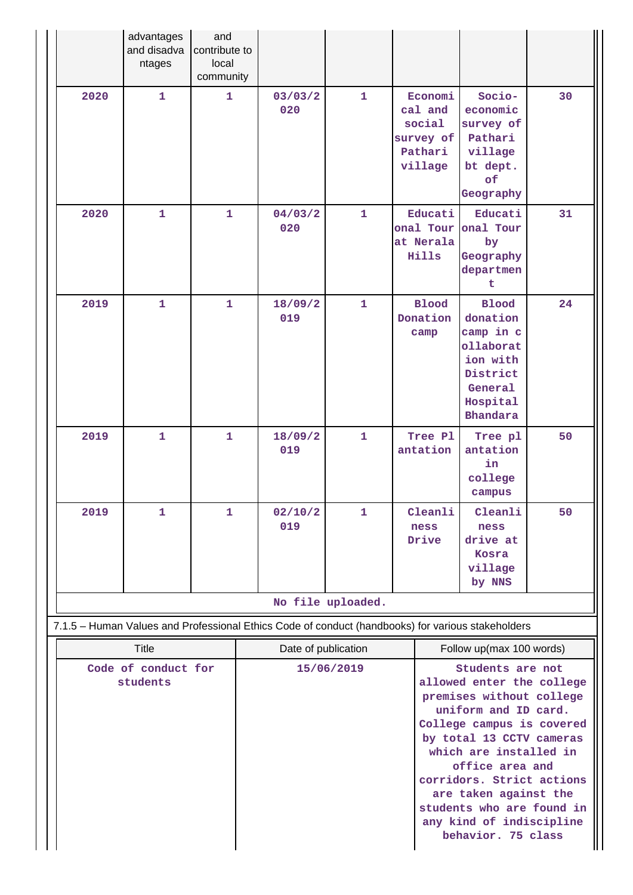|      | advantages<br>and disadva<br>ntages             | and<br>contribute to<br>local<br>community |                                                                                                                          |                   |                                                                 |                                                                                                                                                                                                         |    |
|------|-------------------------------------------------|--------------------------------------------|--------------------------------------------------------------------------------------------------------------------------|-------------------|-----------------------------------------------------------------|---------------------------------------------------------------------------------------------------------------------------------------------------------------------------------------------------------|----|
| 2020 | $\mathbf{1}$                                    | 1.                                         | 03/03/2<br>020                                                                                                           | $\mathbf{1}$      | Economi<br>cal and<br>social<br>survey of<br>Pathari<br>village | Socio-<br>economic<br>survey of<br>Pathari<br>village<br>bt dept.<br>of<br>Geography                                                                                                                    | 30 |
| 2020 | $\mathbf{1}$                                    | $\mathbf{1}$                               | 04/03/2<br>020                                                                                                           | $\mathbf{1}$      | Educati<br>onal Tour<br>at Nerala<br>Hills                      | Educati<br>onal Tour<br>by<br>Geography<br>departmen<br>t                                                                                                                                               | 31 |
| 2019 | $\mathbf{1}$                                    | $\mathbf{1}$                               | 18/09/2<br>019                                                                                                           | $\mathbf{1}$      | <b>Blood</b><br>Donation<br>camp                                | <b>Blood</b><br>donation<br>camp in c<br>ollaborat<br>ion with<br>District<br>General<br>Hospital<br><b>Bhandara</b>                                                                                    | 24 |
| 2019 | $\mathbf 1$                                     | $\mathbf{1}$                               | 18/09/2<br>019                                                                                                           | $\mathbf{1}$      | Tree Pl<br>antation                                             | Tree pl<br>antation<br>in<br>college<br>campus                                                                                                                                                          | 50 |
| 2019 | $\mathbf{1}$                                    | 1                                          | 02/10/2<br>019                                                                                                           | $\mathbf{1}$      | Cleanli<br>ness<br>Drive                                        | Cleanli<br>ness<br>drive at<br>Kosra<br>village<br>by NNS                                                                                                                                               | 50 |
|      |                                                 |                                            |                                                                                                                          | No file uploaded. |                                                                 |                                                                                                                                                                                                         |    |
|      |                                                 |                                            | 7.1.5 - Human Values and Professional Ethics Code of conduct (handbooks) for various stakeholders<br>Date of publication |                   |                                                                 | Follow up(max 100 words)                                                                                                                                                                                |    |
|      | <b>Title</b><br>Code of conduct for<br>students |                                            |                                                                                                                          | 15/06/2019        |                                                                 | Students are not<br>allowed enter the college<br>premises without college<br>uniform and ID card.<br>College campus is covered<br>by total 13 CCTV cameras<br>which are installed in<br>office area and |    |

**corridors. Strict actions are taken against the students who are found in any kind of indiscipline behavior. 75 class**

Ш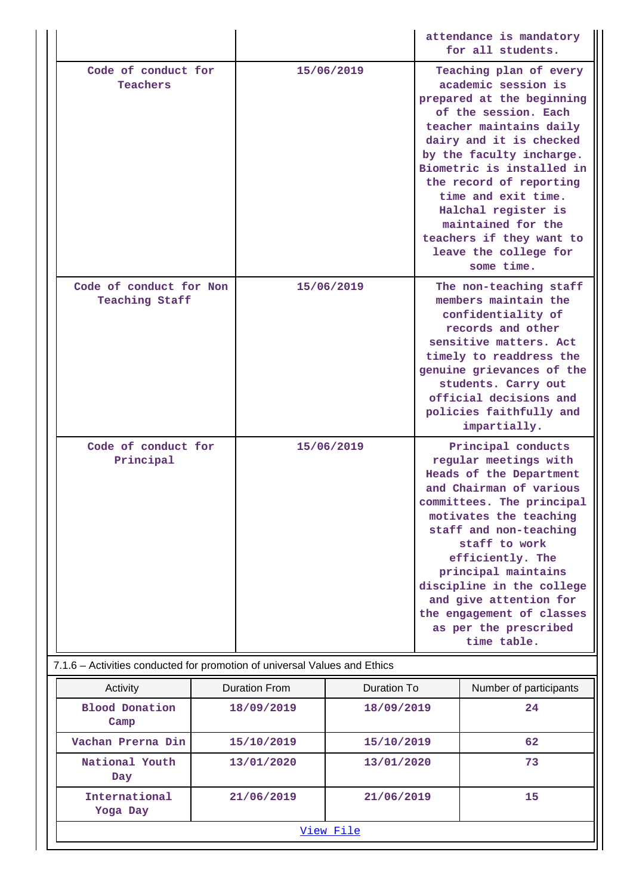|  |                                                                                                                         |  |                      |                    |                                                                                                                                                                                                                                               | attendance is mandatory<br>for all students.                                                                                                                                                                                                                                                                                                                                        |  |
|--|-------------------------------------------------------------------------------------------------------------------------|--|----------------------|--------------------|-----------------------------------------------------------------------------------------------------------------------------------------------------------------------------------------------------------------------------------------------|-------------------------------------------------------------------------------------------------------------------------------------------------------------------------------------------------------------------------------------------------------------------------------------------------------------------------------------------------------------------------------------|--|
|  | Code of conduct for<br><b>Teachers</b><br>Code of conduct for Non<br>Teaching Staff<br>Code of conduct for<br>Principal |  | 15/06/2019           |                    | Teaching plan of every                                                                                                                                                                                                                        | academic session is<br>prepared at the beginning<br>of the session. Each<br>teacher maintains daily<br>dairy and it is checked<br>by the faculty incharge.<br>Biometric is installed in<br>the record of reporting<br>time and exit time.<br>Halchal register is<br>maintained for the<br>teachers if they want to<br>leave the college for<br>some time.<br>The non-teaching staff |  |
|  |                                                                                                                         |  |                      |                    | members maintain the<br>confidentiality of<br>records and other<br>sensitive matters. Act<br>timely to readdress the<br>genuine grievances of the<br>students. Carry out<br>official decisions and<br>policies faithfully and<br>impartially. |                                                                                                                                                                                                                                                                                                                                                                                     |  |
|  |                                                                                                                         |  | 15/06/2019           |                    |                                                                                                                                                                                                                                               | Principal conducts<br>regular meetings with<br>Heads of the Department<br>and Chairman of various<br>committees. The principal                                                                                                                                                                                                                                                      |  |
|  |                                                                                                                         |  |                      |                    |                                                                                                                                                                                                                                               | motivates the teaching<br>staff and non-teaching<br>staff to work<br>efficiently. The<br>principal maintains<br>discipline in the college<br>and give attention for<br>the engagement of classes<br>as per the prescribed<br>time table.                                                                                                                                            |  |
|  | 7.1.6 - Activities conducted for promotion of universal Values and Ethics                                               |  |                      |                    |                                                                                                                                                                                                                                               |                                                                                                                                                                                                                                                                                                                                                                                     |  |
|  | Activity                                                                                                                |  | <b>Duration From</b> | <b>Duration To</b> |                                                                                                                                                                                                                                               | Number of participants                                                                                                                                                                                                                                                                                                                                                              |  |
|  | <b>Blood Donation</b><br>Camp                                                                                           |  | 18/09/2019           | 18/09/2019         |                                                                                                                                                                                                                                               | 24                                                                                                                                                                                                                                                                                                                                                                                  |  |
|  | Vachan Prerna Din                                                                                                       |  | 15/10/2019           | 15/10/2019         |                                                                                                                                                                                                                                               | 62                                                                                                                                                                                                                                                                                                                                                                                  |  |
|  | National Youth<br>Day                                                                                                   |  | 13/01/2020           | 13/01/2020         |                                                                                                                                                                                                                                               | 73                                                                                                                                                                                                                                                                                                                                                                                  |  |
|  | International<br>Yoga Day                                                                                               |  | 21/06/2019           | 21/06/2019         |                                                                                                                                                                                                                                               | 15                                                                                                                                                                                                                                                                                                                                                                                  |  |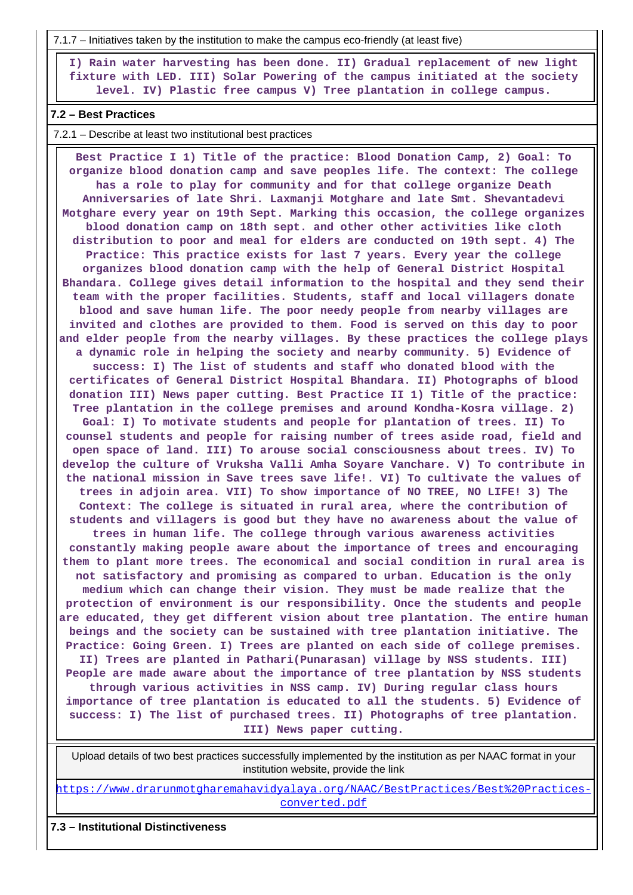7.1.7 – Initiatives taken by the institution to make the campus eco-friendly (at least five)

 **I) Rain water harvesting has been done. II) Gradual replacement of new light fixture with LED. III) Solar Powering of the campus initiated at the society level. IV) Plastic free campus V) Tree plantation in college campus.**

### **7.2 – Best Practices**

7.2.1 – Describe at least two institutional best practices

 **Best Practice I 1) Title of the practice: Blood Donation Camp, 2) Goal: To organize blood donation camp and save peoples life. The context: The college has a role to play for community and for that college organize Death Anniversaries of late Shri. Laxmanji Motghare and late Smt. Shevantadevi Motghare every year on 19th Sept. Marking this occasion, the college organizes blood donation camp on 18th sept. and other other activities like cloth distribution to poor and meal for elders are conducted on 19th sept. 4) The Practice: This practice exists for last 7 years. Every year the college organizes blood donation camp with the help of General District Hospital Bhandara. College gives detail information to the hospital and they send their team with the proper facilities. Students, staff and local villagers donate blood and save human life. The poor needy people from nearby villages are invited and clothes are provided to them. Food is served on this day to poor and elder people from the nearby villages. By these practices the college plays a dynamic role in helping the society and nearby community. 5) Evidence of success: I) The list of students and staff who donated blood with the certificates of General District Hospital Bhandara. II) Photographs of blood donation III) News paper cutting. Best Practice II 1) Title of the practice: Tree plantation in the college premises and around Kondha-Kosra village. 2) Goal: I) To motivate students and people for plantation of trees. II) To counsel students and people for raising number of trees aside road, field and open space of land. III) To arouse social consciousness about trees. IV) To develop the culture of Vruksha Valli Amha Soyare Vanchare. V) To contribute in the national mission in Save trees save life!. VI) To cultivate the values of trees in adjoin area. VII) To show importance of NO TREE, NO LIFE! 3) The Context: The college is situated in rural area, where the contribution of students and villagers is good but they have no awareness about the value of trees in human life. The college through various awareness activities constantly making people aware about the importance of trees and encouraging them to plant more trees. The economical and social condition in rural area is not satisfactory and promising as compared to urban. Education is the only medium which can change their vision. They must be made realize that the protection of environment is our responsibility. Once the students and people are educated, they get different vision about tree plantation. The entire human beings and the society can be sustained with tree plantation initiative. The Practice: Going Green. I) Trees are planted on each side of college premises. II) Trees are planted in Pathari(Punarasan) village by NSS students. III) People are made aware about the importance of tree plantation by NSS students through various activities in NSS camp. IV) During regular class hours importance of tree plantation is educated to all the students. 5) Evidence of success: I) The list of purchased trees. II) Photographs of tree plantation. III) News paper cutting.**

 Upload details of two best practices successfully implemented by the institution as per NAAC format in your institution website, provide the link

[https://www.drarunmotgharemahavidyalaya.org/NAAC/BestPractices/Best%20Practices](https://www.drarunmotgharemahavidyalaya.org/NAAC/BestPractices/Best%20Practices-converted.pdf)[converted.pdf](https://www.drarunmotgharemahavidyalaya.org/NAAC/BestPractices/Best%20Practices-converted.pdf)

# **7.3 – Institutional Distinctiveness**